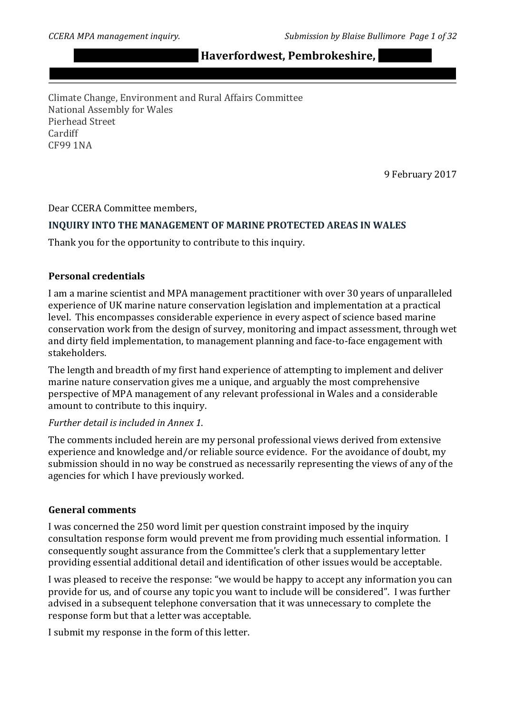$H$ **averfordwest, Pembrokeshire,** 

Climate Change, Environment and Rural Affairs Committee National Assembly for Wales Pierhead Street Cardiff CF99 1NA

9 February 2017

Dear CCERA Committee members,

#### INQUIRY INTO THE MANAGEMENT OF MARINE PROTECTED AREAS IN WALES

Thank you for the opportunity to contribute to this inquiry.

#### **Personal credentials**

I am a marine scientist and MPA management practitioner with over 30 years of unparalleled experience of UK marine nature conservation legislation and implementation at a practical level. This encompasses considerable experience in every aspect of science based marine conservation work from the design of survey, monitoring and impact assessment, through wet and dirty field implementation, to management planning and face-to-face engagement with stakeholders.

The length and breadth of my first hand experience of attempting to implement and deliver marine nature conservation gives me a unique, and arguably the most comprehensive perspective of MPA management of any relevant professional in Wales and a considerable amount to contribute to this inquiry.

#### *Further%detail%is%included%in%Annex%1*.

The comments included herein are my personal professional views derived from extensive experience and knowledge and/or reliable source evidence. For the avoidance of doubt, my submission should in no way be construed as necessarily representing the views of any of the agencies for which I have previously worked.

#### **General comments**

I was concerned the 250 word limit per question constraint imposed by the inquiry consultation response form would prevent me from providing much essential information. I consequently sought assurance from the Committee's clerk that a supplementary letter providing essential additional detail and identification of other issues would be acceptable.

I was pleased to receive the response: "we would be happy to accept any information you can provide for us, and of course any topic you want to include will be considered". I was further advised in a subsequent telephone conversation that it was unnecessary to complete the response form but that a letter was acceptable.

I submit my response in the form of this letter.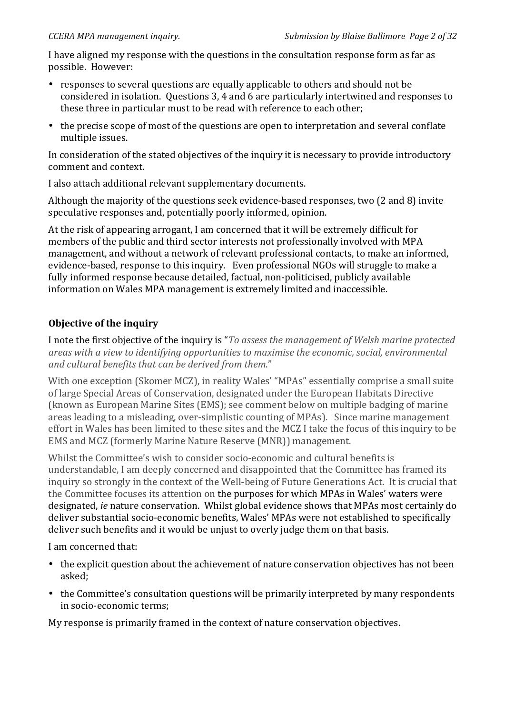I have aligned my response with the questions in the consultation response form as far as possible. However:

- responses to several questions are equally applicable to others and should not be considered in isolation. Questions 3, 4 and 6 are particularly intertwined and responses to these three in particular must to be read with reference to each other;
- the precise scope of most of the questions are open to interpretation and several conflate multiple issues.

In consideration of the stated objectives of the inquiry it is necessary to provide introductory comment and context.

I also attach additional relevant supplementary documents.

Although the majority of the questions seek evidence-based responses, two  $(2 \text{ and } 8)$  invite speculative responses and, potentially poorly informed, opinion.

At the risk of appearing arrogant, I am concerned that it will be extremely difficult for members of the public and third sector interests not professionally involved with MPA management, and without a network of relevant professional contacts, to make an informed, evidence-based, response to this inquiry. Even professional NGOs will struggle to make a fully informed response because detailed, factual, non-politicised, publicly available information on Wales MPA management is extremely limited and inaccessible.

# **Objective of the inquiry**

I note the first objective of the inquiry is "*To assess the management of Welsh marine protected* areas with a view to identifying opportunities to maximise the economic, social, environmental *and%cultural%benefits%that%can%be%derived%from%them*."

With one exception (Skomer MCZ), in reality Wales' "MPAs" essentially comprise a small suite of large Special Areas of Conservation, designated under the European Habitats Directive (known as European Marine Sites (EMS); see comment below on multiple badging of marine areas leading to a misleading, over-simplistic counting of MPAs). Since marine management effort in Wales has been limited to these sites and the MCZ I take the focus of this inquiry to be EMS and MCZ (formerly Marine Nature Reserve (MNR)) management.

Whilst the Committee's wish to consider socio-economic and cultural benefits is understandable. I am deeply concerned and disappointed that the Committee has framed its inquiry so strongly in the context of the Well-being of Future Generations Act. It is crucial that the Committee focuses its attention on the purposes for which MPAs in Wales' waters were designated, *ie* nature conservation. Whilst global evidence shows that MPAs most certainly do deliver substantial socio-economic benefits, Wales' MPAs were not established to specifically deliver such benefits and it would be unjust to overly judge them on that basis.

I am concerned that:

- the explicit question about the achievement of nature conservation objectives has not been asked;
- the Committee's consultation questions will be primarily interpreted by many respondents in socio-economic terms;

My response is primarily framed in the context of nature conservation objectives.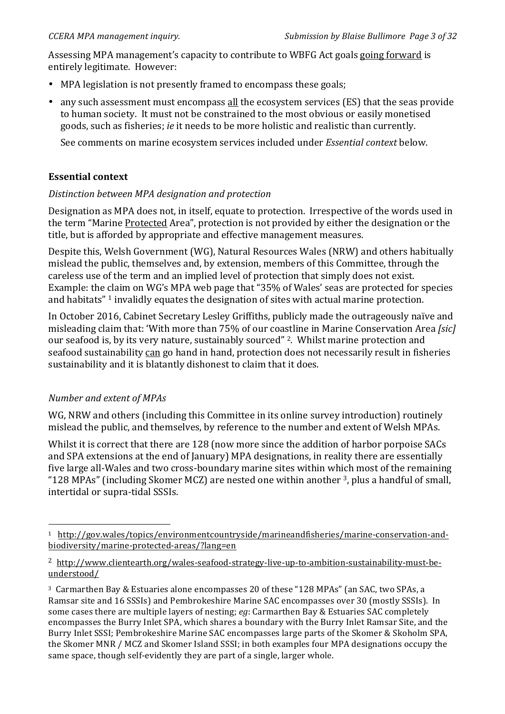Assessing MPA management's capacity to contribute to WBFG Act goals going forward is entirely legitimate. However:

- MPA legislation is not presently framed to encompass these goals;
- any such assessment must encompass all the ecosystem services (ES) that the seas provide to human society. It must not be constrained to the most obvious or easily monetised goods, such as fisheries; *ie* it needs to be more holistic and realistic than currently.

See comments on marine ecosystem services included under *Essential context* below.

#### **Essential context**

#### *Distinction between MPA designation and protection*

Designation as MPA does not, in itself, equate to protection. Irrespective of the words used in the term "Marine Protected Area", protection is not provided by either the designation or the title, but is afforded by appropriate and effective management measures.

Despite this, Welsh Government (WG), Natural Resources Wales (NRW) and others habitually mislead the public, themselves and, by extension, members of this Committee, through the careless use of the term and an implied level of protection that simply does not exist. Example: the claim on WG's MPA web page that "35% of Wales' seas are protected for species and habitats"  $1$  invalidly equates the designation of sites with actual marine protection.

In October 2016, Cabinet Secretary Lesley Griffiths, publicly made the outrageously naïve and misleading claim that: 'With more than 75% of our coastline in Marine Conservation Area *[sic]* our seafood is, by its very nature, sustainably sourced" <sup>2</sup>. Whilst marine protection and seafood sustainability can go hand in hand, protection does not necessarily result in fisheries sustainability and it is blatantly dishonest to claim that it does.

# *Number and extent of MPAs*

!!!!!!!!!!!!!!!!!!!!!!!!!!!!!!!!!!!!!!!!!!!!!!!!!!!!!!!

WG, NRW and others (including this Committee in its online survey introduction) routinely mislead the public, and themselves, by reference to the number and extent of Welsh MPAs.

Whilst it is correct that there are 128 (now more since the addition of harbor porpoise SACs and SPA extensions at the end of January) MPA designations, in reality there are essentially five large all-Wales and two cross-boundary marine sites within which most of the remaining "128 MPAs" (including Skomer MCZ) are nested one within another  $3$ , plus a handful of small, intertidal or supra-tidal SSSIs.

<sup>&</sup>lt;sup>1</sup> http://gov.wales/topics/environmentcountryside/marineandfisheries/marine-conservation-andbiodiversity/marine-protected-areas/?lang=en

<sup>&</sup>lt;sup>2</sup> http://www.clientearth.org/wales-seafood-strategy-live-up-to-ambition-sustainability-must-beunderstood/

<sup>&</sup>lt;sup>3</sup> Carmarthen Bay & Estuaries alone encompasses 20 of these "128 MPAs" (an SAC, two SPAs, a Ramsar site and 16 SSSIs) and Pembrokeshire Marine SAC encompasses over 30 (mostly SSSIs). In some cases there are multiple layers of nesting; *eg*: Carmarthen Bay & Estuaries SAC completely encompasses the Burry Inlet SPA, which shares a boundary with the Burry Inlet Ramsar Site, and the Burry Inlet SSSI; Pembrokeshire Marine SAC encompasses large parts of the Skomer & Skoholm SPA, the Skomer MNR / MCZ and Skomer Island SSSI; in both examples four MPA designations occupy the same space, though self-evidently they are part of a single, larger whole.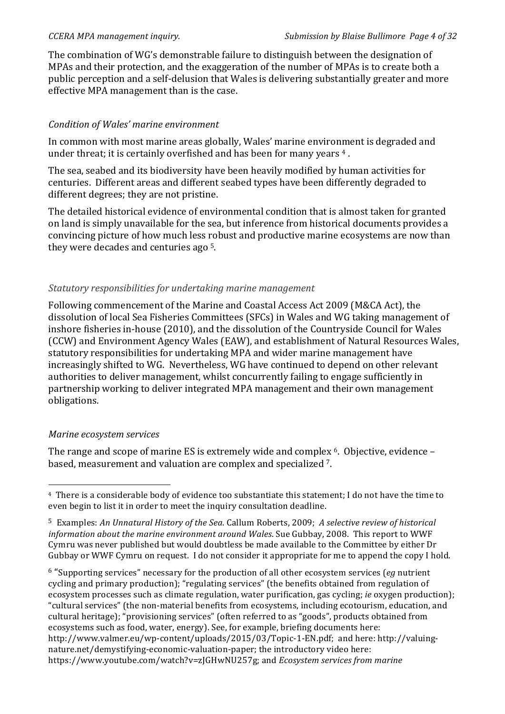The combination of WG's demonstrable failure to distinguish between the designation of MPAs and their protection, and the exaggeration of the number of MPAs is to create both a public perception and a self-delusion that Wales is delivering substantially greater and more effective MPA management than is the case.

# *Condition%of%Wales'%marine%environment*

In common with most marine areas globally, Wales' marine environment is degraded and under threat; it is certainly overfished and has been for many years  $4$ .

The sea, seabed and its biodiversity have been heavily modified by human activities for centuries. Different areas and different seabed types have been differently degraded to different degrees; they are not pristine.

The detailed historical evidence of environmental condition that is almost taken for granted on land is simply unavailable for the sea, but inference from historical documents provides a convincing picture of how much less robust and productive marine ecosystems are now than they were decades and centuries ago  $5$ .

# *Statutory%responsibilities for%undertaking%marine%management*

Following commencement of the Marine and Coastal Access Act 2009 (M&CA Act), the dissolution of local Sea Fisheries Committees (SFCs) in Wales and WG taking management of inshore fisheries in-house (2010), and the dissolution of the Countryside Council for Wales (CCW) and Environment Agency Wales (EAW), and establishment of Natural Resources Wales, statutory responsibilities for undertaking MPA and wider marine management have increasingly shifted to WG. Nevertheless, WG have continued to depend on other relevant authorities to deliver management, whilst concurrently failing to engage sufficiently in partnership working to deliver integrated MPA management and their own management obligations.

# *Marine ecosystem services*

!!!!!!!!!!!!!!!!!!!!!!!!!!!!!!!!!!!!!!!!!!!!!!!!!!!!!!!

The range and scope of marine ES is extremely wide and complex <sup>6</sup>. Objective, evidence – based, measurement and valuation are complex and specialized 7.

<sup>6</sup> "Supporting services" necessary for the production of all other ecosystem services (*eg* nutrient cycling and primary production); "regulating services" (the benefits obtained from regulation of ecosystem processes such as climate regulation, water purification, gas cycling; *ie* oxygen production); "cultural services" (the non-material benefits from ecosystems, including ecotourism, education, and cultural heritage); "provisioning services" (often referred to as "goods", products obtained from ecosystems such as food, water, energy). See, for example, briefing documents here: http://www.valmer.eu/wp-content/uploads/2015/03/Topic-1-EN.pdf; and here: http://valuingnature.net/demystifying-economic-valuation-paper; the introductory video here: https://www.youtube.com/watch?v=zJGHwNU257g; and *Ecosystem services from marine* 

<sup>&</sup>lt;sup>4</sup> There is a considerable body of evidence too substantiate this statement; I do not have the time to even begin to list it in order to meet the inquiry consultation deadline.

<sup>&</sup>lt;sup>5</sup> Examples: *An Unnatural History of the Sea*. Callum Roberts, 2009; *A selective review of historical information about the marine environment around Wales*. Sue Gubbay, 2008. This report to WWF Cymru was never published but would doubtless be made available to the Committee by either Dr Gubbay or WWF Cymru on request. I do not consider it appropriate for me to append the copy I hold.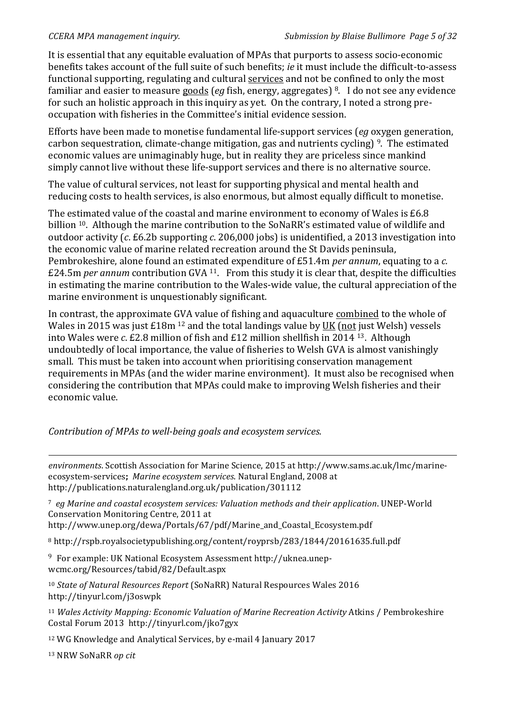It is essential that any equitable evaluation of MPAs that purports to assess socio-economic benefits takes account of the full suite of such benefits; *ie* it must include the difficult-to-assess functional supporting, regulating and cultural services and not be confined to only the most familiar and easier to measure goods (*eg* fish, energy, aggregates) <sup>8</sup>. I do not see any evidence for such an holistic approach in this inquiry as yet. On the contrary, I noted a strong preoccupation with fisheries in the Committee's initial evidence session.

Efforts have been made to monetise fundamental life-support services (*eg* oxygen generation, carbon sequestration, climate-change mitigation, gas and nutrients cycling)  $9$ . The estimated economic values are unimaginably huge, but in reality they are priceless since mankind simply cannot live without these life-support services and there is no alternative source.

The value of cultural services, not least for supporting physical and mental health and reducing costs to health services, is also enormous, but almost equally difficult to monetise.

The estimated value of the coastal and marine environment to economy of Wales is  $£6.8$ billion <sup>10</sup>. Although the marine contribution to the SoNaRR's estimated value of wildlife and outdoor activity (*c.* £6.2b supporting *c.* 206,000 jobs) is unidentified, a 2013 investigation into the economic value of marine related recreation around the St Davids peninsula, Pembrokeshire, alone found an estimated expenditure of £51.4m *per annum*, equating to a *c.* £24.5m *per annum* contribution GVA <sup>11</sup>. From this study it is clear that, despite the difficulties in estimating the marine contribution to the Wales-wide value, the cultural appreciation of the marine environment is unquestionably significant.

In contrast, the approximate GVA value of fishing and aquaculture combined to the whole of Wales in 2015 was just  $£18m<sup>12</sup>$  and the total landings value by UK (not just Welsh) vessels into Wales were  $c$ .  $E2.8$  million of fish and  $E12$  million shellfish in 2014 <sup>13</sup>. Although undoubtedly of local importance, the value of fisheries to Welsh GVA is almost vanishingly small. This must be taken into account when prioritising conservation management requirements in MPAs (and the wider marine environment). It must also be recognised when considering the contribution that MPAs could make to improving Welsh fisheries and their economic value.

*Contribution of MPAs to well-being goals and ecosystem services.* 

!!!!!!!!!!!!!!!!!!!!!!!!!!!!!!!!!!!!!!!!!!!!!!!!!!!!!!!!!!!!!!!!!!!!!!!!!!!!!!!!!!!!!!!!!!!!!!!!!!!!!!!!!!!!!!!!!!!!!!!!!!!!!!!!!!!!!!!!!!!!!!!!!!!!!!!!!!!!!!!!!!!!!!!!!!!!!!!!!!!!!!! environments. Scottish Association for Marine Science, 2015 at http://www.sams.ac.uk/lmc/marineecosystem-services; Marine ecosystem services. Natural England, 2008 at http://publications.naturalengland.org.uk/publication/301112

<sup>7</sup> eg Marine and coastal ecosystem services: Valuation methods and their application. UNEP-World Conservation Monitoring Centre, 2011 at

http://www.unep.org/dewa/Portals/67/pdf/Marine\_and\_Coastal\_Ecosystem.pdf

<sup>8</sup> http://rspb.royalsocietypublishing.org/content/royprsb/283/1844/20161635.full.pdf

<sup>9</sup> For example: UK National Ecosystem Assessment http://uknea.unepwcmc.org/Resources/tabid/82/Default.aspx

<sup>10</sup> State of Natural Resources Report (SoNaRR) Natural Respources Wales 2016 http://tinyurl.com/j3oswpk

<sup>11</sup> Wales Activity Mapping: Economic Valuation of Marine Recreation Activity Atkins / Pembrokeshire Costal Forum 2013 http://tinyurl.com/jko7gyx

<sup>12</sup> WG Knowledge and Analytical Services, by e-mail 4 January 2017

13 NRW SoNaRR *op cit*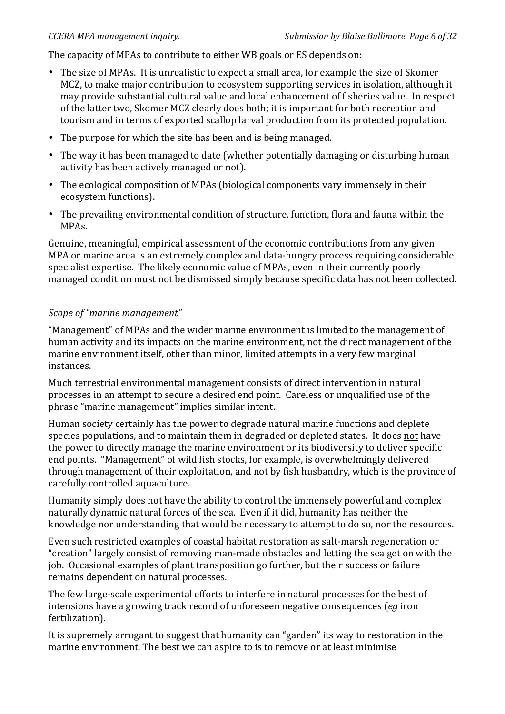The capacity of MPAs to contribute to either WB goals or ES depends on:

- The size of MPAs. It is unrealistic to expect a small area, for example the size of Skomer MCZ, to make major contribution to ecosystem supporting services in isolation, although it may provide substantial cultural value and local enhancement of fisheries value. In respect of the latter two, Skomer MCZ clearly does both; it is important for both recreation and tourism and in terms of exported scallop larval production from its protected population.
- The purpose for which the site has been and is being managed.
- The way it has been managed to date (whether potentially damaging or disturbing human activity has been actively managed or not).
- The ecological composition of MPAs (biological components vary immensely in their ecosystem functions).
- The prevailing environmental condition of structure, function, flora and fauna within the MPAs.

Genuine, meaningful, empirical assessment of the economic contributions from any given MPA or marine area is an extremely complex and data-hungry process requiring considerable specialist expertise. The likely economic value of MPAs, even in their currently poorly managed condition must not be dismissed simply because specific data has not been collected.

#### *Scope of "marine management"*

"Management" of MPAs and the wider marine environment is limited to the management of human activity and its impacts on the marine environment, not the direct management of the marine environment itself, other than minor, limited attempts in a very few marginal instances.

Much terrestrial environmental management consists of direct intervention in natural processes in an attempt to secure a desired end point. Careless or unqualified use of the phrase "marine management" implies similar intent.

Human society certainly has the power to degrade natural marine functions and deplete species populations, and to maintain them in degraded or depleted states. It does not have the power to directly manage the marine environment or its biodiversity to deliver specific end points. "Management" of wild fish stocks, for example, is overwhelmingly delivered through management of their exploitation, and not by fish husbandry, which is the province of carefully controlled aquaculture.

Humanity simply does not have the ability to control the immensely powerful and complex naturally dynamic natural forces of the sea. Even if it did, humanity has neither the knowledge nor understanding that would be necessary to attempt to do so, nor the resources.

Even such restricted examples of coastal habitat restoration as salt-marsh regeneration or "creation" largely consist of removing man-made obstacles and letting the sea get on with the job. Occasional examples of plant transposition go further, but their success or failure remains dependent on natural processes.

The few large-scale experimental efforts to interfere in natural processes for the best of intensions have a growing track record of unforeseen negative consequences (*eg* iron fertilization).

It is supremely arrogant to suggest that humanity can "garden" its way to restoration in the marine environment. The best we can aspire to is to remove or at least minimise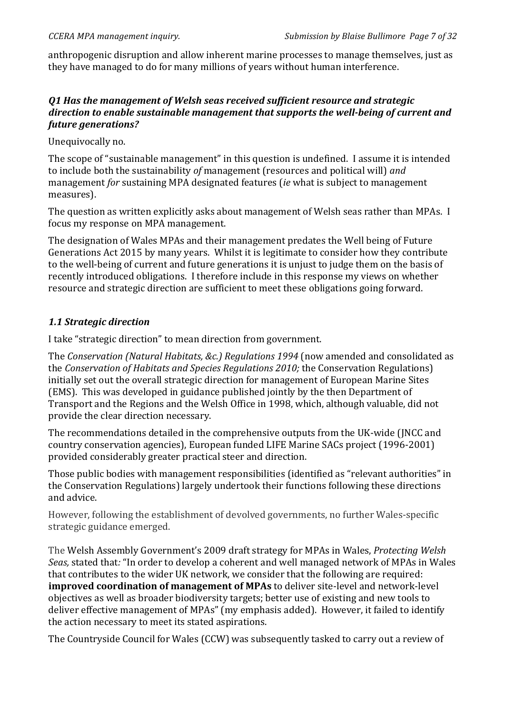anthropogenic disruption and allow inherent marine processes to manage themselves, just as they have managed to do for many millions of years without human interference.

#### **Q1 Has the management of Welsh seas received sufficient resource and strategic** *direction to enable sustainable management that supports the well-being of current and future!generations?*

Unequivocally no.

The scope of "sustainable management" in this question is undefined. I assume it is intended to include both the sustainability of management (resources and political will) *and* management *for* sustaining MPA designated features (*ie* what is subject to management measures).

The question as written explicitly asks about management of Welsh seas rather than MPAs. I focus my response on MPA management.

The designation of Wales MPAs and their management predates the Well being of Future Generations Act 2015 by many years. Whilst it is legitimate to consider how they contribute to the well-being of current and future generations it is unjust to judge them on the basis of recently introduced obligations. I therefore include in this response my views on whether resource and strategic direction are sufficient to meet these obligations going forward.

# **1.1 Strategic direction**

I take "strategic direction" to mean direction from government.

The *Conservation (Natural Habitats, &c.) Regulations 1994* (now amended and consolidated as the *Conservation of Habitats and Species Regulations 2010;* the Conservation Regulations) initially set out the overall strategic direction for management of European Marine Sites (EMS). This was developed in guidance published jointly by the then Department of Transport and the Regions and the Welsh Office in 1998, which, although valuable, did not provide the clear direction necessary.

The recommendations detailed in the comprehensive outputs from the UK-wide (JNCC and country conservation agencies), European funded LIFE Marine SACs project (1996-2001) provided considerably greater practical steer and direction.

Those public bodies with management responsibilities (identified as "relevant authorities" in the Conservation Regulations) largely undertook their functions following these directions and advice.

However, following the establishment of devolved governments, no further Wales-specific strategic guidance emerged.

The Welsh Assembly Government's 2009 draft strategy for MPAs in Wales, *Protecting Welsh Seas,* stated that: "In order to develop a coherent and well managed network of MPAs in Wales that contributes to the wider UK network, we consider that the following are required: **improved coordination of management of MPAs** to deliver site-level and network-level objectives as well as broader biodiversity targets; better use of existing and new tools to deliver effective management of MPAs" (my emphasis added). However, it failed to identify the action necessary to meet its stated aspirations.

The Countryside Council for Wales (CCW) was subsequently tasked to carry out a review of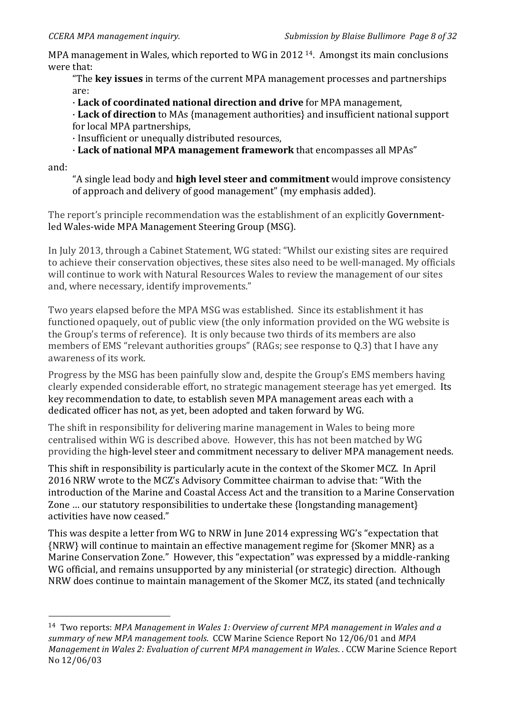!!!!!!!!!!!!!!!!!!!!!!!!!!!!!!!!!!!!!!!!!!!!!!!!!!!!!!!

MPA management in Wales, which reported to WG in 2012  $14$ . Amongst its main conclusions were that:

"The **key issues** in terms of the current MPA management processes and partnerships are:

·!**Lack\*of\*coordinated\*national\*direction\*and\*drive** for!MPA!management,

**· Lack of direction** to MAs {management authorities} and insufficient national support for local MPA partnerships,

· Insufficient or unequally distributed resources,

 $\cdot$  Lack of national MPA management framework that encompasses all MPAs"

and:

"A single lead body and **high level steer and commitment** would improve consistency of approach and delivery of good management" (my emphasis added).

The report's principle recommendation was the establishment of an explicitly Governmentled Wales-wide MPA Management Steering Group (MSG).

In July 2013, through a Cabinet Statement, WG stated: "Whilst our existing sites are required to achieve their conservation objectives, these sites also need to be well-managed. My officials will continue to work with Natural Resources Wales to review the management of our sites and, where necessary, identify improvements."

Two years elapsed before the MPA MSG was established. Since its establishment it has functioned opaquely, out of public view (the only information provided on the WG website is the Group's terms of reference). It is only because two thirds of its members are also members of EMS "relevant authorities groups" (RAGs; see response to Q.3) that I have any awareness of its work.

Progress by the MSG has been painfully slow and, despite the Group's EMS members having clearly expended considerable effort, no strategic management steerage has yet emerged. Its key recommendation to date, to establish seven MPA management areas each with a dedicated officer has not, as yet, been adopted and taken forward by WG.

The shift in responsibility for delivering marine management in Wales to being more centralised within WG is described above. However, this has not been matched by WG providing the high-level steer and commitment necessary to deliver MPA management needs.

This shift in responsibility is particularly acute in the context of the Skomer MCZ. In April 2016 NRW wrote to the MCZ's Advisory Committee chairman to advise that: "With the introduction of the Marine and Coastal Access Act and the transition to a Marine Conservation Zone  $\ldots$  our statutory responsibilities to undertake these {longstanding management} activities have now ceased."

This was despite a letter from WG to NRW in June 2014 expressing WG's "expectation that {NRW} will continue to maintain an effective management regime for {Skomer MNR} as a Marine Conservation Zone." However, this "expectation" was expressed by a middle-ranking WG official, and remains unsupported by any ministerial (or strategic) direction. Although NRW does continue to maintain management of the Skomer MCZ, its stated (and technically

<sup>&</sup>lt;sup>14</sup> Two reports: *MPA Management in Wales 1: Overview of current MPA management in Wales and a summary of new MPA management tools.* CCW Marine Science Report No 12/06/01 and *MPA Management in Wales 2: Evaluation of current MPA management in Wales.* . CCW Marine Science Report No!12/06/03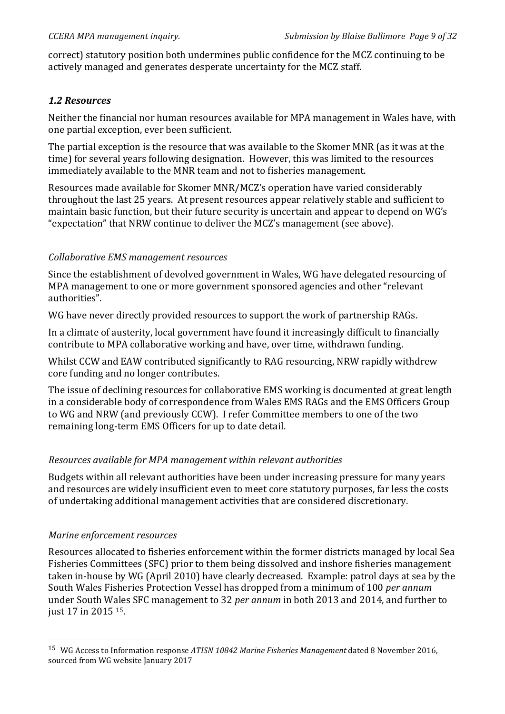correct) statutory position both undermines public confidence for the MCZ continuing to be actively managed and generates desperate uncertainty for the MCZ staff.

#### *1.2!Resources*

Neither the financial nor human resources available for MPA management in Wales have, with one partial exception, ever been sufficient.

The partial exception is the resource that was available to the Skomer MNR (as it was at the time) for several years following designation. However, this was limited to the resources immediately available to the MNR team and not to fisheries management.

Resources made available for Skomer MNR/MCZ's operation have varied considerably throughout the last 25 years. At present resources appear relatively stable and sufficient to maintain basic function, but their future security is uncertain and appear to depend on WG's "expectation" that NRW continue to deliver the MCZ's management (see above).

#### *Collaborative%EMS%management%resources*

Since the establishment of devolved government in Wales, WG have delegated resourcing of MPA management to one or more government sponsored agencies and other "relevant" authorities".

WG have never directly provided resources to support the work of partnership RAGs.

In a climate of austerity, local government have found it increasingly difficult to financially contribute to MPA collaborative working and have, over time, withdrawn funding.

Whilst CCW and EAW contributed significantly to RAG resourcing, NRW rapidly withdrew core funding and no longer contributes.

The issue of declining resources for collaborative EMS working is documented at great length in a considerable body of correspondence from Wales EMS RAGs and the EMS Officers Group to WG and NRW (and previously CCW). I refer Committee members to one of the two remaining long-term EMS Officers for up to date detail.

# *Resources%available%for%MPA%management%within%relevant%authorities*

Budgets within all relevant authorities have been under increasing pressure for many years and resources are widely insufficient even to meet core statutory purposes, far less the costs of undertaking additional management activities that are considered discretionary.

#### *Marine enforcement resources*

!!!!!!!!!!!!!!!!!!!!!!!!!!!!!!!!!!!!!!!!!!!!!!!!!!!!!!!

Resources allocated to fisheries enforcement within the former districts managed by local Sea Fisheries Committees (SFC) prior to them being dissolved and inshore fisheries management taken in-house by WG (April 2010) have clearly decreased. Example: patrol days at sea by the South Wales Fisheries Protection Vessel has dropped from a minimum of 100 *per annum* under South Wales SFC management to 32 *per annum* in both 2013 and 2014, and further to just 17 in 2015 <sup>15</sup>.

<sup>&</sup>lt;sup>15</sup> WG Access to Information response *ATISN 10842 Marine Fisheries Management* dated 8 November 2016, sourced from WG website January 2017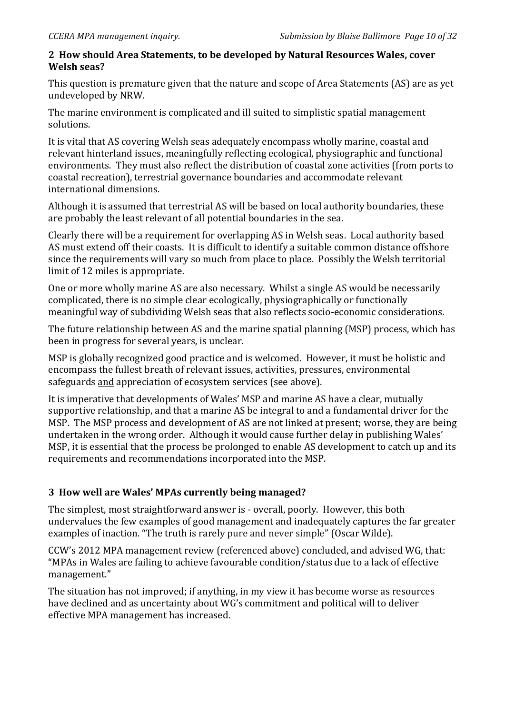#### 2 How should Area Statements, to be developed by Natural Resources Wales, cover **Welsh seas?**

This question is premature given that the nature and scope of Area Statements (AS) are as yet undeveloped by NRW.

The marine environment is complicated and ill suited to simplistic spatial management solutions.

It is vital that AS covering Welsh seas adequately encompass wholly marine, coastal and relevant hinterland issues, meaningfully reflecting ecological, physiographic and functional environments. They must also reflect the distribution of coastal zone activities (from ports to coastal recreation), terrestrial governance boundaries and accommodate relevant international dimensions.

Although it is assumed that terrestrial AS will be based on local authority boundaries, these are probably the least relevant of all potential boundaries in the sea.

Clearly there will be a requirement for overlapping AS in Welsh seas. Local authority based AS must extend off their coasts. It is difficult to identify a suitable common distance offshore since the requirements will vary so much from place to place. Possibly the Welsh territorial limit of 12 miles is appropriate.

One or more wholly marine AS are also necessary. Whilst a single AS would be necessarily complicated, there is no simple clear ecologically, physiographically or functionally meaningful way of subdividing Welsh seas that also reflects socio-economic considerations.

The future relationship between AS and the marine spatial planning (MSP) process, which has been in progress for several vears, is unclear.

MSP is globally recognized good practice and is welcomed. However, it must be holistic and encompass the fullest breath of relevant issues, activities, pressures, environmental safeguards and appreciation of ecosystem services (see above).

It is imperative that developments of Wales' MSP and marine AS have a clear, mutually supportive relationship, and that a marine AS be integral to and a fundamental driver for the MSP. The MSP process and development of AS are not linked at present; worse, they are being undertaken in the wrong order. Although it would cause further delay in publishing Wales' MSP, it is essential that the process be prolonged to enable AS development to catch up and its requirements and recommendations incorporated into the MSP.

# **3 How well are Wales' MPAs currently being managed?**

The simplest, most straightforward answer is - overall, poorly. However, this both undervalues the few examples of good management and inadequately captures the far greater examples of inaction. "The truth is rarely pure and never simple" (Oscar Wilde).

CCW's 2012 MPA management review (referenced above) concluded, and advised WG, that: "MPAs in Wales are failing to achieve favourable condition/status due to a lack of effective management."

The situation has not improved; if anything, in my view it has become worse as resources have declined and as uncertainty about WG's commitment and political will to deliver effective MPA management has increased.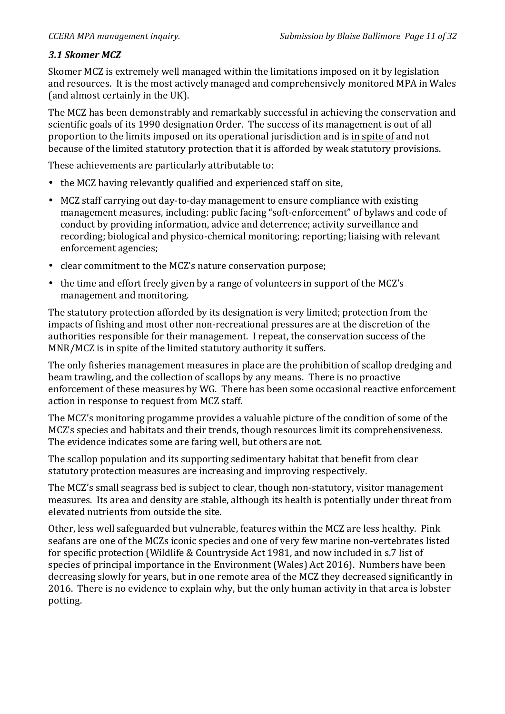# 3.1 Skomer MCZ

Skomer MCZ is extremely well managed within the limitations imposed on it by legislation and resources. It is the most actively managed and comprehensively monitored MPA in Wales (and almost certainly in the UK).

The MCZ has been demonstrably and remarkably successful in achieving the conservation and scientific goals of its 1990 designation Order. The success of its management is out of all proportion to the limits imposed on its operational jurisdiction and is in spite of and not because of the limited statutory protection that it is afforded by weak statutory provisions.

These achievements are particularly attributable to:

- the MCZ having relevantly qualified and experienced staff on site.
- MCZ staff carrying out day-to-day management to ensure compliance with existing management measures, including: public facing "soft-enforcement" of bylaws and code of conduct by providing information, advice and deterrence; activity surveillance and recording; biological and physico-chemical monitoring; reporting; liaising with relevant enforcement agencies;
- clear commitment to the MCZ's nature conservation purpose;
- the time and effort freely given by a range of volunteers in support of the MCZ's management and monitoring.

The statutory protection afforded by its designation is very limited; protection from the impacts of fishing and most other non-recreational pressures are at the discretion of the authorities responsible for their management. I repeat, the conservation success of the MNR/MCZ is in spite of the limited statutory authority it suffers.

The only fisheries management measures in place are the prohibition of scallop dredging and beam trawling, and the collection of scallops by any means. There is no proactive enforcement of these measures by WG. There has been some occasional reactive enforcement action in response to request from MCZ staff.

The MCZ's monitoring progamme provides a valuable picture of the condition of some of the MCZ's species and habitats and their trends, though resources limit its comprehensiveness. The evidence indicates some are faring well, but others are not.

The scallop population and its supporting sedimentary habitat that benefit from clear statutory protection measures are increasing and improving respectively.

The MCZ's small seagrass bed is subject to clear, though non-statutory, visitor management measures. Its area and density are stable, although its health is potentially under threat from elevated nutrients from outside the site.

Other, less well safeguarded but vulnerable, features within the MCZ are less healthy. Pink seafans are one of the MCZs iconic species and one of very few marine non-vertebrates listed for specific protection (Wildlife & Countryside Act 1981, and now included in s.7 list of species of principal importance in the Environment (Wales) Act 2016). Numbers have been decreasing slowly for years, but in one remote area of the MCZ they decreased significantly in 2016. There is no evidence to explain why, but the only human activity in that area is lobster potting.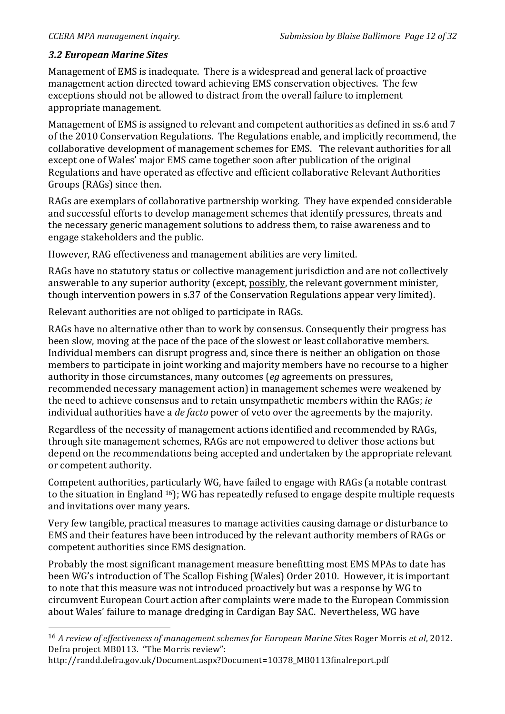# *3.2!European!Marine!Sites*

!!!!!!!!!!!!!!!!!!!!!!!!!!!!!!!!!!!!!!!!!!!!!!!!!!!!!!!

Management of EMS is inadequate. There is a widespread and general lack of proactive management action directed toward achieving EMS conservation objectives. The few exceptions should not be allowed to distract from the overall failure to implement appropriate management.

Management of EMS is assigned to relevant and competent authorities as defined in ss.6 and 7 of the 2010 Conservation Regulations. The Regulations enable, and implicitly recommend, the collaborative development of management schemes for EMS. The relevant authorities for all except one of Wales' major EMS came together soon after publication of the original Regulations and have operated as effective and efficient collaborative Relevant Authorities Groups (RAGs) since then.

RAGs are exemplars of collaborative partnership working. They have expended considerable and successful efforts to develop management schemes that identify pressures, threats and the necessary generic management solutions to address them, to raise awareness and to engage stakeholders and the public.

However, RAG effectiveness and management abilities are very limited.

RAGs have no statutory status or collective management jurisdiction and are not collectively answerable to any superior authority (except, possibly, the relevant government minister, though intervention powers in s.37 of the Conservation Regulations appear very limited).

Relevant authorities are not obliged to participate in RAGs.

RAGs have no alternative other than to work by consensus. Consequently their progress has been slow, moving at the pace of the pace of the slowest or least collaborative members. Individual members can disrupt progress and, since there is neither an obligation on those members to participate in joint working and majority members have no recourse to a higher authority in those circumstances, many outcomes (*eg* agreements on pressures, recommended necessary management action) in management schemes were weakened by the need to achieve consensus and to retain unsympathetic members within the RAGs; *ie* individual authorities have a *de facto* power of veto over the agreements by the majority.

Regardless of the necessity of management actions identified and recommended by RAGs, through site management schemes, RAGs are not empowered to deliver those actions but depend on the recommendations being accepted and undertaken by the appropriate relevant or competent authority.

Competent authorities, particularly WG, have failed to engage with RAGs (a notable contrast to the situation in England <sup>16</sup>); WG has repeatedly refused to engage despite multiple requests and invitations over many vears.

Very few tangible, practical measures to manage activities causing damage or disturbance to EMS and their features have been introduced by the relevant authority members of RAGs or competent authorities since EMS designation.

Probably the most significant management measure benefitting most EMS MPAs to date has been WG's introduction of The Scallop Fishing (Wales) Order 2010. However, it is important to note that this measure was not introduced proactively but was a response by WG to circumvent European Court action after complaints were made to the European Commission about Wales' failure to manage dredging in Cardigan Bay SAC. Nevertheless, WG have

<sup>&</sup>lt;sup>16</sup> *A review of effectiveness of management schemes for European Marine Sites Roger Morris et al, 2012.* Defra project MB0113. "The Morris review":

http://randd.defra.gov.uk/Document.aspx?Document=10378\_MB0113finalreport.pdf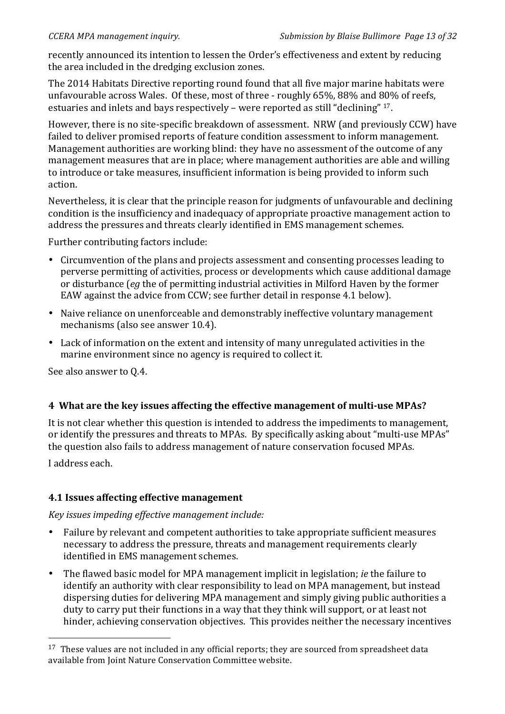recently announced its intention to lessen the Order's effectiveness and extent by reducing the area included in the dredging exclusion zones.

The 2014 Habitats Directive reporting round found that all five major marine habitats were unfavourable across Wales. Of these, most of three - roughly 65%, 88% and 80% of reefs, estuaries and inlets and bays respectively – were reported as still "declining"  $17$ .

However, there is no site-specific breakdown of assessment. NRW (and previously CCW) have failed to deliver promised reports of feature condition assessment to inform management. Management authorities are working blind: they have no assessment of the outcome of any management measures that are in place; where management authorities are able and willing to introduce or take measures, insufficient information is being provided to inform such action.

Nevertheless, it is clear that the principle reason for judgments of unfavourable and declining condition is the insufficiency and inadequacy of appropriate proactive management action to address the pressures and threats clearly identified in EMS management schemes.

Further contributing factors include:

- Circumvention of the plans and projects assessment and consenting processes leading to perverse permitting of activities, process or developments which cause additional damage or disturbance (*eg* the of permitting industrial activities in Milford Haven by the former EAW against the advice from CCW; see further detail in response 4.1 below).
- Naive reliance on unenforceable and demonstrably ineffective voluntary management mechanisms (also see answer 10.4).
- Lack of information on the extent and intensity of many unregulated activities in the marine environment since no agency is required to collect it.

See also answer to 0.4.

# **4\*\*What\*are\*the\*key\*issues\*affecting\*the\*effective management\*of\*multi^use\*MPAs?**

It is not clear whether this question is intended to address the impediments to management, or identify the pressures and threats to MPAs. By specifically asking about "multi-use MPAs" the question also fails to address management of nature conservation focused MPAs.

I address each.

!!!!!!!!!!!!!!!!!!!!!!!!!!!!!!!!!!!!!!!!!!!!!!!!!!!!!!!

# **4.1\*Issues\*affecting\*effective\*management**

#### *Key issues impeding effective management include:*

- Failure by relevant and competent authorities to take appropriate sufficient measures necessary to address the pressure, threats and management requirements clearly identified in EMS management schemes.
- The flawed basic model for MPA management implicit in legislation; *ie* the failure to identify an authority with clear responsibility to lead on MPA management, but instead dispersing duties for delivering MPA management and simply giving public authorities a duty to carry put their functions in a way that they think will support, or at least not hinder, achieving conservation objectives. This provides neither the necessary incentives

 $17$  These values are not included in any official reports; they are sourced from spreadsheet data available from Joint Nature Conservation Committee website.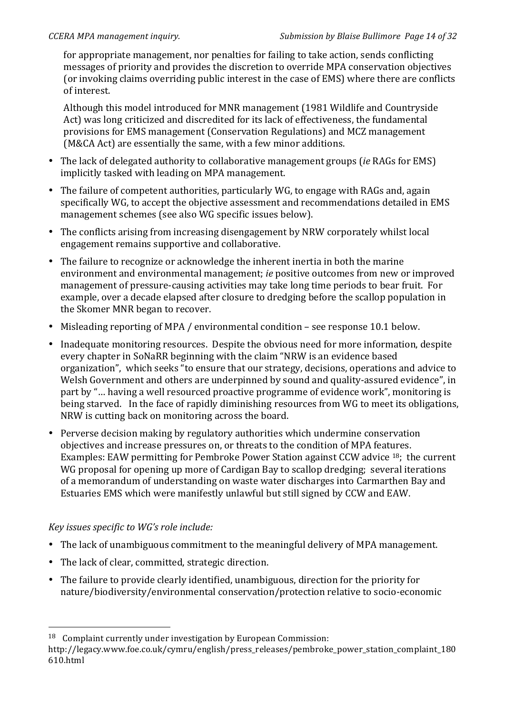for appropriate management, nor penalties for failing to take action, sends conflicting messages of priority and provides the discretion to override MPA conservation objectives (or invoking claims overriding public interest in the case of EMS) where there are conflicts of interest.

Although this model introduced for MNR management (1981 Wildlife and Countryside Act) was long criticized and discredited for its lack of effectiveness, the fundamental provisions for EMS management (Conservation Regulations) and MCZ management (M&CA Act) are essentially the same, with a few minor additions.

- The lack of delegated authority to collaborative management groups (*ie* RAGs for EMS) implicitly tasked with leading on MPA management.
- The failure of competent authorities, particularly WG, to engage with RAGs and, again specifically WG, to accept the objective assessment and recommendations detailed in EMS management schemes (see also WG specific issues below).
- The conflicts arising from increasing disengagement by NRW corporately whilst local engagement remains supportive and collaborative.
- The failure to recognize or acknowledge the inherent inertia in both the marine environment and environmental management; *ie* positive outcomes from new or improved management of pressure-causing activities may take long time periods to bear fruit. For example, over a decade elapsed after closure to dredging before the scallop population in the Skomer MNR began to recover.
- Misleading reporting of MPA / environmental condition see response 10.1 below.
- Inadequate monitoring resources. Despite the obvious need for more information, despite every chapter in SoNaRR beginning with the claim "NRW is an evidence based organization", which seeks "to ensure that our strategy, decisions, operations and advice to Welsh Government and others are underpinned by sound and quality-assured evidence", in part by "... having a well resourced proactive programme of evidence work", monitoring is being starved. In the face of rapidly diminishing resources from WG to meet its obligations, NRW is cutting back on monitoring across the board.
- Perverse decision making by regulatory authorities which undermine conservation objectives and increase pressures on, or threats to the condition of MPA features. Examples: EAW permitting for Pembroke Power Station against CCW advice <sup>18</sup>; the current WG proposal for opening up more of Cardigan Bay to scallop dredging; several iterations of a memorandum of understanding on waste water discharges into Carmarthen Bay and Estuaries EMS which were manifestly unlawful but still signed by CCW and EAW.

# *Key issues specific to WG's role include:*

!!!!!!!!!!!!!!!!!!!!!!!!!!!!!!!!!!!!!!!!!!!!!!!!!!!!!!!

- The lack of unambiguous commitment to the meaningful delivery of MPA management.
- The lack of clear, committed, strategic direction.
- The failure to provide clearly identified, unambiguous, direction for the priority for nature/biodiversity/environmental conservation/protection relative to socio-economic

 $18$  Complaint currently under investigation by European Commission:

http://legacy.www.foe.co.uk/cymru/english/press\_releases/pembroke\_power\_station\_complaint\_180 610.html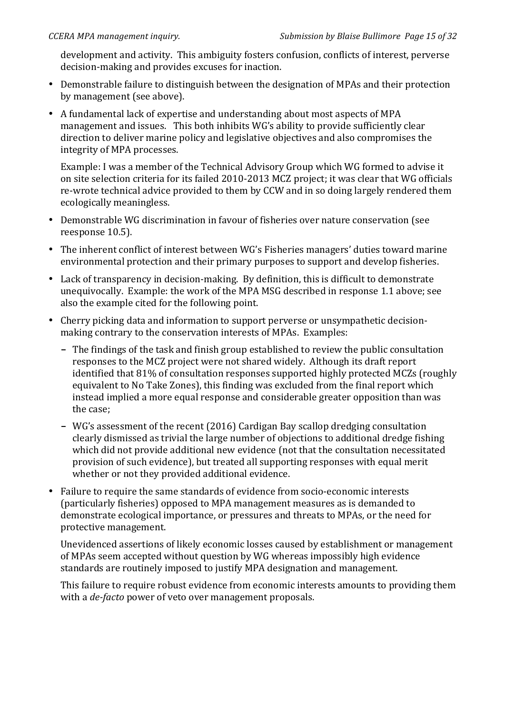development and activity. This ambiguity fosters confusion, conflicts of interest, perverse decision-making and provides excuses for inaction.

- Demonstrable failure to distinguish between the designation of MPAs and their protection by management (see above).
- A fundamental lack of expertise and understanding about most aspects of MPA management and issues. This both inhibits WG's ability to provide sufficiently clear direction to deliver marine policy and legislative objectives and also compromises the integrity of MPA processes.

Example: I was a member of the Technical Advisory Group which WG formed to advise it on site selection criteria for its failed 2010-2013 MCZ project; it was clear that WG officials re-wrote technical advice provided to them by CCW and in so doing largely rendered them ecologically meaningless.

- Demonstrable WG discrimination in favour of fisheries over nature conservation (see reesponse 10.5).
- The inherent conflict of interest between WG's Fisheries managers' duties toward marine environmental protection and their primary purposes to support and develop fisheries.
- Lack of transparency in decision-making. By definition, this is difficult to demonstrate unequivocally. Example: the work of the MPA MSG described in response 1.1 above; see also the example cited for the following point.
- Cherry picking data and information to support perverse or unsympathetic decisionmaking contrary to the conservation interests of MPAs. Examples:
	- The findings of the task and finish group established to review the public consultation responses to the MCZ project were not shared widely. Although its draft report identified that 81% of consultation responses supported highly protected MCZs (roughly equivalent to No Take Zones), this finding was excluded from the final report which instead implied a more equal response and considerable greater opposition than was the case;
	- WG's assessment of the recent (2016) Cardigan Bay scallop dredging consultation clearly dismissed as trivial the large number of objections to additional dredge fishing which did not provide additional new evidence (not that the consultation necessitated provision of such evidence), but treated all supporting responses with equal merit whether or not they provided additional evidence.
- Failure to require the same standards of evidence from socio-economic interests (particularly fisheries) opposed to MPA management measures as is demanded to demonstrate ecological importance, or pressures and threats to MPAs, or the need for protective management.

Unevidenced assertions of likely economic losses caused by establishment or management of MPAs seem accepted without question by WG whereas impossibly high evidence standards are routinely imposed to justify MPA designation and management.

This failure to require robust evidence from economic interests amounts to providing them with a *de-facto* power of veto over management proposals.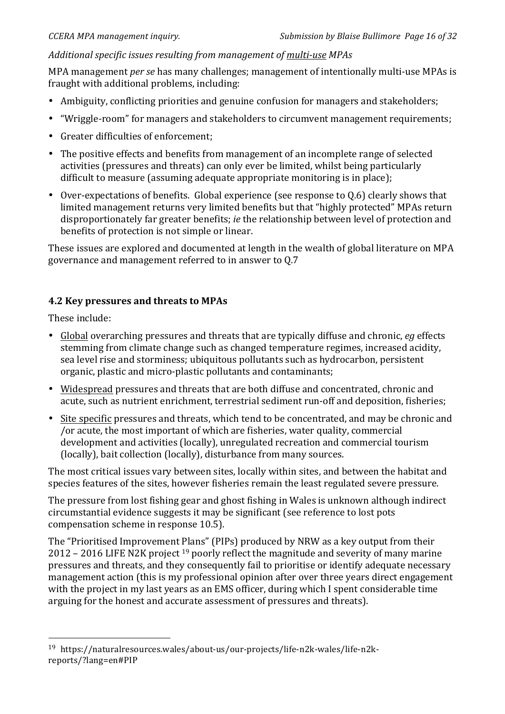# Additional specific issues resulting from management of multi-use MPAs

MPA management *per se* has many challenges: management of intentionally multi-use MPAs is fraught with additional problems, including:

- Ambiguity, conflicting priorities and genuine confusion for managers and stakeholders;
- "Wriggle-room" for managers and stakeholders to circumvent management requirements;
- Greater difficulties of enforcement;
- The positive effects and benefits from management of an incomplete range of selected activities (pressures and threats) can only ever be limited, whilst being particularly difficult to measure (assuming adequate appropriate monitoring is in place);
- Over-expectations of benefits. Global experience (see response to  $Q.6$ ) clearly shows that limited management returns very limited benefits but that "highly protected" MPAs return disproportionately far greater benefits; *ie* the relationship between level of protection and benefits of protection is not simple or linear.

These issues are explored and documented at length in the wealth of global literature on MPA governance and management referred to in answer to 0.7

# **4.2 Key pressures and threats to MPAs**

These include:

!!!!!!!!!!!!!!!!!!!!!!!!!!!!!!!!!!!!!!!!!!!!!!!!!!!!!!!

- Global overarching pressures and threats that are typically diffuse and chronic, *eq* effects stemming from climate change such as changed temperature regimes, increased acidity, sea level rise and storminess; ubiquitous pollutants such as hydrocarbon, persistent organic, plastic and micro-plastic pollutants and contaminants;
- Widespread pressures and threats that are both diffuse and concentrated, chronic and acute, such as nutrient enrichment, terrestrial sediment run-off and deposition, fisheries;
- Site specific pressures and threats, which tend to be concentrated, and may be chronic and /or acute, the most important of which are fisheries, water quality, commercial development and activities (locally), unregulated recreation and commercial tourism (locally), bait collection (locally), disturbance from many sources.

The most critical issues vary between sites, locally within sites, and between the habitat and species features of the sites, however fisheries remain the least regulated severe pressure.

The pressure from lost fishing gear and ghost fishing in Wales is unknown although indirect circumstantial evidence suggests it may be significant (see reference to lost pots compensation scheme in response 10.5).

The "Prioritised Improvement Plans" (PIPs) produced by NRW as a key output from their 2012 – 2016 LIFE N2K project <sup>19</sup> poorly reflect the magnitude and severity of many marine pressures and threats, and they consequently fail to prioritise or identify adequate necessary management action (this is my professional opinion after over three years direct engagement with the project in my last years as an EMS officer, during which I spent considerable time arguing for the honest and accurate assessment of pressures and threats).

<sup>&</sup>lt;sup>19</sup> https://naturalresources.wales/about-us/our-projects/life-n2k-wales/life-n2kreports/?lang=en#PIP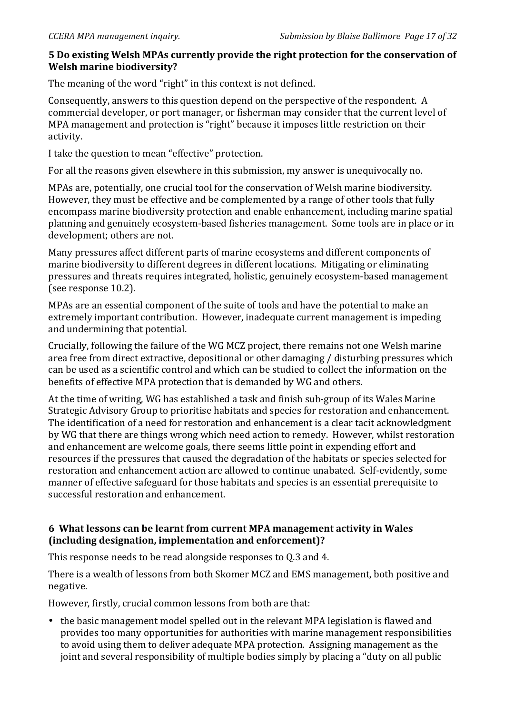# 5 Do existing Welsh MPAs currently provide the right protection for the conservation of **Welsh marine biodiversity?**

The meaning of the word "right" in this context is not defined.

Consequently, answers to this question depend on the perspective of the respondent. A commercial developer, or port manager, or fisherman may consider that the current level of MPA management and protection is "right" because it imposes little restriction on their activity.

I take the question to mean "effective" protection.

For all the reasons given elsewhere in this submission, my answer is unequivocally no.

MPAs are, potentially, one crucial tool for the conservation of Welsh marine biodiversity. However, they must be effective and be complemented by a range of other tools that fully encompass marine biodiversity protection and enable enhancement, including marine spatial planning and genuinely ecosystem-based fisheries management. Some tools are in place or in development; others are not.

Many pressures affect different parts of marine ecosystems and different components of marine biodiversity to different degrees in different locations. Mitigating or eliminating pressures and threats requires integrated, holistic, genuinely ecosystem-based management (see response  $10.2$ ).

MPAs are an essential component of the suite of tools and have the potential to make an extremely important contribution. However, inadequate current management is impeding and undermining that potential.

Crucially, following the failure of the WG MCZ project, there remains not one Welsh marine area free from direct extractive, depositional or other damaging / disturbing pressures which can be used as a scientific control and which can be studied to collect the information on the benefits of effective MPA protection that is demanded by WG and others.

At the time of writing, WG has established a task and finish sub-group of its Wales Marine Strategic Advisory Group to prioritise habitats and species for restoration and enhancement. The identification of a need for restoration and enhancement is a clear tacit acknowledgment by WG that there are things wrong which need action to remedy. However, whilst restoration and enhancement are welcome goals, there seems little point in expending effort and resources if the pressures that caused the degradation of the habitats or species selected for restoration and enhancement action are allowed to continue unabated. Self-evidently, some manner of effective safeguard for those habitats and species is an essential prerequisite to successful restoration and enhancement.

#### **6\*\*What\*lessons\*can\*be\*learnt\*from\*current\*MPA\*management\*activity\*in\*Wales\*** (including designation, implementation and enforcement)?

This response needs to be read alongside responses to 0.3 and 4.

There is a wealth of lessons from both Skomer MCZ and EMS management, both positive and negative.

However, firstly, crucial common lessons from both are that:

• the basic management model spelled out in the relevant MPA legislation is flawed and provides too many opportunities for authorities with marine management responsibilities to avoid using them to deliver adequate MPA protection. Assigning management as the joint and several responsibility of multiple bodies simply by placing a "duty on all public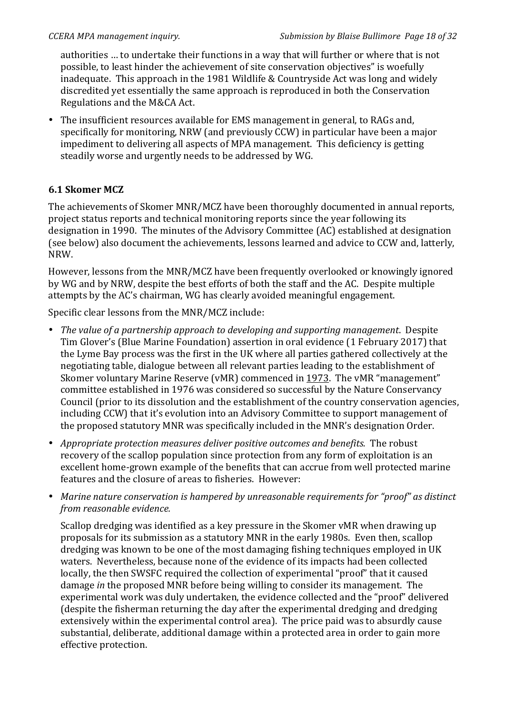authorities ... to undertake their functions in a way that will further or where that is not possible, to least hinder the achievement of site conservation objectives" is woefully inadequate. This approach in the 1981 Wildlife & Countryside Act was long and widely discredited yet essentially the same approach is reproduced in both the Conservation Regulations and the M&CA Act.

• The insufficient resources available for EMS management in general, to RAGs and, specifically for monitoring, NRW (and previously CCW) in particular have been a major impediment to delivering all aspects of MPA management. This deficiency is getting steadily worse and urgently needs to be addressed by WG.

# **6.1 Skomer MCZ**

The achievements of Skomer MNR/MCZ have been thoroughly documented in annual reports, project status reports and technical monitoring reports since the year following its designation in 1990. The minutes of the Advisory Committee (AC) established at designation (see below) also document the achievements, lessons learned and advice to CCW and, latterly, NRW.

However, lessons from the MNR/MCZ have been frequently overlooked or knowingly ignored by WG and by NRW, despite the best efforts of both the staff and the AC. Despite multiple attempts by the AC's chairman, WG has clearly avoided meaningful engagement.

Specific clear lessons from the MNR/MCZ include:

- *The value of a partnership approach to developing and supporting management.* Despite Tim Glover's (Blue Marine Foundation) assertion in oral evidence (1 February 2017) that the Lyme Bay process was the first in the UK where all parties gathered collectively at the negotiating table, dialogue between all relevant parties leading to the establishment of Skomer voluntary Marine Reserve (vMR) commenced in 1973. The vMR "management" committee established in 1976 was considered so successful by the Nature Conservancy Council (prior to its dissolution and the establishment of the country conservation agencies, including CCW) that it's evolution into an Advisory Committee to support management of the proposed statutory MNR was specifically included in the MNR's designation Order.
- *Appropriate protection measures deliver positive outcomes and benefits.* The robust recovery of the scallop population since protection from any form of exploitation is an excellent home-grown example of the benefits that can accrue from well protected marine features and the closure of areas to fisheries. However:
- *Marine nature conservation is hampered by unreasonable requirements for "proof" as distinct from reasonable evidence.*

Scallop dredging was identified as a key pressure in the Skomer vMR when drawing up proposals for its submission as a statutory MNR in the early 1980s. Even then, scallop dredging was known to be one of the most damaging fishing techniques employed in UK waters. Nevertheless, because none of the evidence of its impacts had been collected locally, the then SWSFC required the collection of experimental "proof" that it caused damage *in* the proposed MNR before being willing to consider its management. The experimental work was duly undertaken, the evidence collected and the "proof" delivered (despite the fisherman returning the day after the experimental dredging and dredging extensively within the experimental control area). The price paid was to absurdly cause substantial, deliberate, additional damage within a protected area in order to gain more effective protection.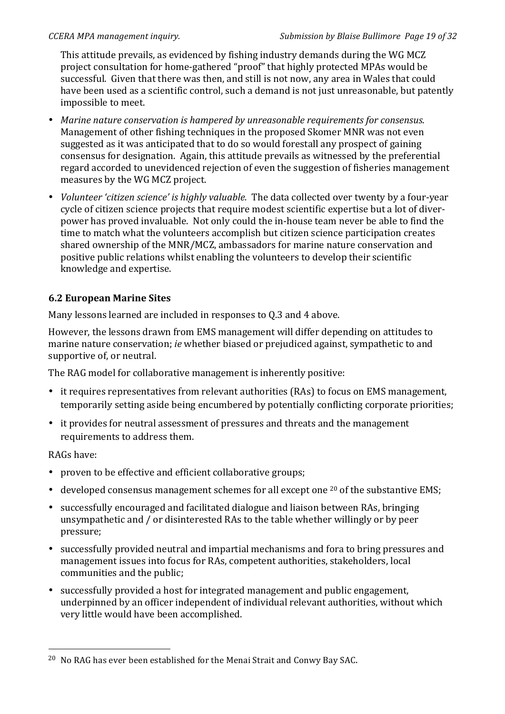This attitude prevails, as evidenced by fishing industry demands during the WG MCZ project consultation for home-gathered "proof" that highly protected MPAs would be successful. Given that there was then, and still is not now, any area in Wales that could have been used as a scientific control, such a demand is not just unreasonable, but patently impossible to meet.

- *Marine nature conservation is hampered by unreasonable requirements for consensus.* Management of other fishing techniques in the proposed Skomer MNR was not even suggested as it was anticipated that to do so would forestall any prospect of gaining consensus for designation. Again, this attitude prevails as witnessed by the preferential regard accorded to unevidenced rejection of even the suggestion of fisheries management measures by the WG MCZ project.
- *Volunteer 'citizen science' is highly valuable. The data collected over twenty by a four-year* cycle of citizen science projects that require modest scientific expertise but a lot of diverpower has proved invaluable. Not only could the in-house team never be able to find the time to match what the volunteers accomplish but citizen science participation creates shared ownership of the MNR/MCZ, ambassadors for marine nature conservation and positive public relations whilst enabling the volunteers to develop their scientific knowledge and expertise.

# **6.2 European Marine Sites**

!!!!!!!!!!!!!!!!!!!!!!!!!!!!!!!!!!!!!!!!!!!!!!!!!!!!!!!

Many lessons learned are included in responses to Q.3 and 4 above.

However, the lessons drawn from EMS management will differ depending on attitudes to marine nature conservation; *ie* whether biased or prejudiced against, sympathetic to and supportive of, or neutral.

The RAG model for collaborative management is inherently positive:

- it requires representatives from relevant authorities (RAs) to focus on EMS management, temporarily setting aside being encumbered by potentially conflicting corporate priorities;
- it provides for neutral assessment of pressures and threats and the management requirements to address them.

RAGs have:

- proven to be effective and efficient collaborative groups;
- developed consensus management schemes for all except one  $20$  of the substantive EMS;
- successfully encouraged and facilitated dialogue and liaison between RAs, bringing unsympathetic and / or disinterested RAs to the table whether willingly or by peer pressure;
- successfully provided neutral and impartial mechanisms and fora to bring pressures and management issues into focus for RAs, competent authorities, stakeholders, local communities and the public;
- successfully provided a host for integrated management and public engagement, underpinned by an officer independent of individual relevant authorities, without which very little would have been accomplished.

<sup>&</sup>lt;sup>20</sup> No RAG has ever been established for the Menai Strait and Conwy Bay SAC.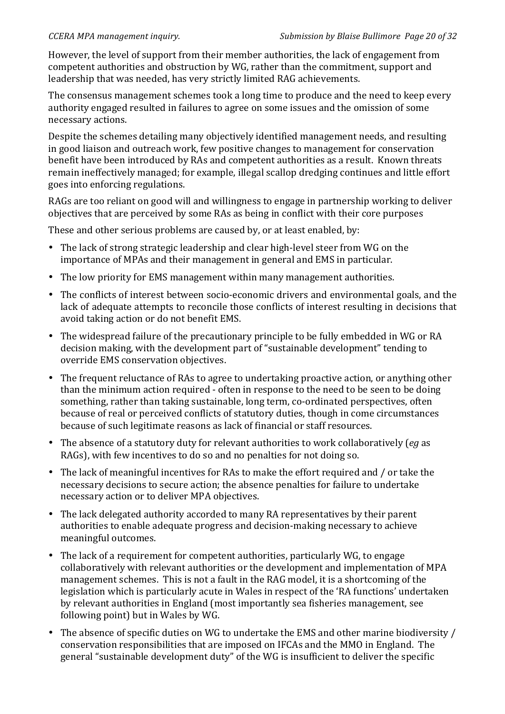However, the level of support from their member authorities, the lack of engagement from competent authorities and obstruction by WG, rather than the commitment, support and leadership that was needed, has very strictly limited RAG achievements.

The consensus management schemes took a long time to produce and the need to keep every authority engaged resulted in failures to agree on some issues and the omission of some necessary actions.

Despite the schemes detailing many objectively identified management needs, and resulting in good liaison and outreach work, few positive changes to management for conservation benefit have been introduced by RAs and competent authorities as a result. Known threats remain ineffectively managed; for example, illegal scallop dredging continues and little effort goes into enforcing regulations.

RAGs are too reliant on good will and willingness to engage in partnership working to deliver objectives that are perceived by some RAs as being in conflict with their core purposes

These and other serious problems are caused by, or at least enabled, by:

- The lack of strong strategic leadership and clear high-level steer from WG on the importance of MPAs and their management in general and EMS in particular.
- The low priority for EMS management within many management authorities.
- The conflicts of interest between socio-economic drivers and environmental goals, and the lack of adequate attempts to reconcile those conflicts of interest resulting in decisions that avoid taking action or do not benefit EMS.
- The widespread failure of the precautionary principle to be fully embedded in WG or RA decision making, with the development part of "sustainable development" tending to override EMS conservation objectives.
- The frequent reluctance of RAs to agree to undertaking proactive action, or anything other than the minimum action required - often in response to the need to be seen to be doing something, rather than taking sustainable, long term, co-ordinated perspectives, often because of real or perceived conflicts of statutory duties, though in come circumstances because of such legitimate reasons as lack of financial or staff resources.
- The absence of a statutory duty for relevant authorities to work collaboratively (*eq* as RAGs), with few incentives to do so and no penalties for not doing so.
- The lack of meaningful incentives for RAs to make the effort required and / or take the necessary decisions to secure action; the absence penalties for failure to undertake necessary action or to deliver MPA objectives.
- The lack delegated authority accorded to many RA representatives by their parent authorities to enable adequate progress and decision-making necessary to achieve meaningful outcomes.
- The lack of a requirement for competent authorities, particularly WG, to engage collaboratively with relevant authorities or the development and implementation of MPA management schemes. This is not a fault in the RAG model, it is a shortcoming of the legislation which is particularly acute in Wales in respect of the 'RA functions' undertaken by relevant authorities in England (most importantly sea fisheries management, see following point) but in Wales by WG.
- The absence of specific duties on WG to undertake the EMS and other marine biodiversity / conservation responsibilities that are imposed on IFCAs and the MMO in England. The general "sustainable development duty" of the WG is insufficient to deliver the specific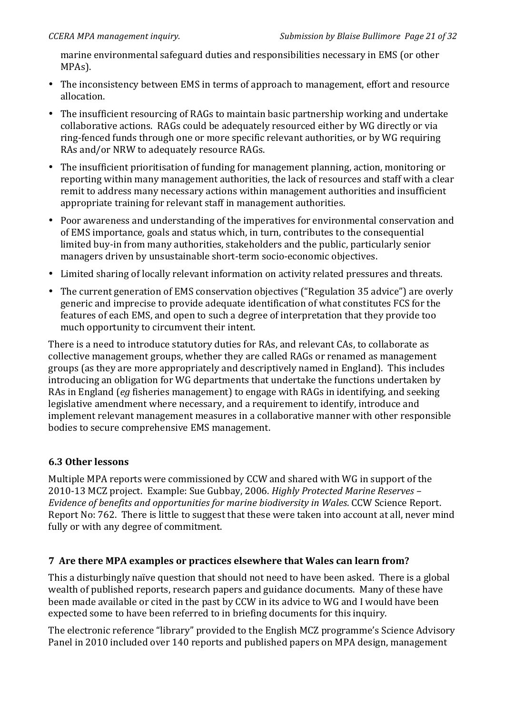marine environmental safeguard duties and responsibilities necessary in EMS (or other MPAs).

- The inconsistency between EMS in terms of approach to management, effort and resource allocation.
- The insufficient resourcing of RAGs to maintain basic partnership working and undertake collaborative actions. RAGs could be adequately resourced either by WG directly or via ring-fenced funds through one or more specific relevant authorities, or by WG requiring RAs and/or NRW to adequately resource RAGs.
- The insufficient prioritisation of funding for management planning, action, monitoring or reporting within many management authorities, the lack of resources and staff with a clear remit to address many necessary actions within management authorities and insufficient appropriate training for relevant staff in management authorities.
- Poor awareness and understanding of the imperatives for environmental conservation and of EMS importance, goals and status which, in turn, contributes to the consequential limited buy-in from many authorities, stakeholders and the public, particularly senior managers driven by unsustainable short-term socio-economic objectives.
- Limited sharing of locally relevant information on activity related pressures and threats.
- The current generation of EMS conservation objectives ("Regulation 35 advice") are overly generic and imprecise to provide adequate identification of what constitutes FCS for the features of each EMS, and open to such a degree of interpretation that they provide too much opportunity to circumvent their intent.

There is a need to introduce statutory duties for RAs, and relevant CAs, to collaborate as collective management groups, whether they are called RAGs or renamed as management groups (as they are more appropriately and descriptively named in England). This includes introducing an obligation for WG departments that undertake the functions undertaken by RAs in England (*eg* fisheries management) to engage with RAGs in identifying, and seeking legislative amendment where necessary, and a requirement to identify, introduce and implement relevant management measures in a collaborative manner with other responsible bodies to secure comprehensive EMS management.

# **6.3\*Other\*lessons**

Multiple MPA reports were commissioned by CCW and shared with WG in support of the 2010-13 MCZ project. Example: Sue Gubbay, 2006. *Highly Protected Marine Reserves* – *Evidence of benefits and opportunities for marine biodiversity in Wales.* CCW Science Report. Report No: 762. There is little to suggest that these were taken into account at all, never mind fully or with any degree of commitment.

# **7 Are there MPA examples or practices elsewhere that Wales can learn from?**

This a disturbingly naïve question that should not need to have been asked. There is a global wealth of published reports, research papers and guidance documents. Many of these have been made available or cited in the past by CCW in its advice to WG and I would have been expected some to have been referred to in briefing documents for this inquiry.

The electronic reference "library" provided to the English MCZ programme's Science Advisory Panel in 2010 included over 140 reports and published papers on MPA design, management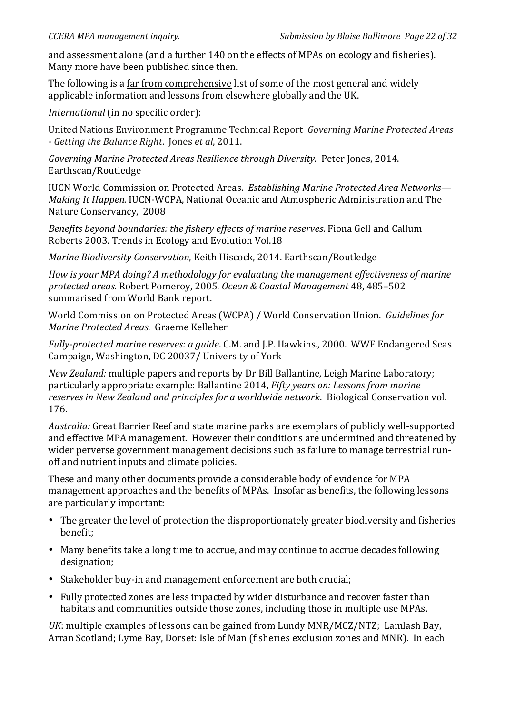and assessment alone (and a further 140 on the effects of MPAs on ecology and fisheries). Many more have been published since then.

The following is a far from comprehensive list of some of the most general and widely applicable information and lessons from elsewhere globally and the UK.

*International* (in no specific order):

United!Nations!Environment!Programme!Technical!Report! *Governing%Marine%Protected%Areas% Setting the Balance Right.* Jones *et al*, 2011.

*Governing Marine Protected Areas Resilience through Diversity. Peter Jones, 2014.* Earthscan/Routledge

IUCN!World!Commission!on!Protected!Areas. *Establishing Marine%Protected%Area%Networks— Making It Happen.* IUCN-WCPA, National Oceanic and Atmospheric Administration and The Nature Conservancy, 2008

*Benefits beyond boundaries: the fishery effects of marine reserves. Fiona Gell and Callum* Roberts 2003. Trends in Ecology and Evolution Vol.18

*Marine Biodiversity Conservation*, Keith Hiscock, 2014. Earthscan/Routledge

*How is your MPA doing? A methodology for evaluating the management effectiveness of marine protected%areas.* Robert!Pomeroy, 2005.!*Ocean%&%Coastal%Management* 48,!485–502 summarised from World Bank report.

World Commission on Protected Areas (WCPA) / World Conservation Union. *Guidelines for Marine Protected Areas*. Graeme!Kelleher

*Fully-protected marine reserves: a guide.* C.M. and J.P. Hawkins., 2000. WWF Endangered Seas Campaign, Washington, DC 20037/ University of York

*New Zealand:* multiple papers and reports by Dr Bill Ballantine, Leigh Marine Laboratory; particularly appropriate example: Ballantine 2014, *Fifty years on: Lessons from marine* reserves in New Zealand and principles for a worldwide network. Biological Conservation vol. 176.

*Australia:* Great Barrier Reef and state marine parks are exemplars of publicly well-supported and effective MPA management. However their conditions are undermined and threatened by wider perverse government management decisions such as failure to manage terrestrial runoff and nutrient inputs and climate policies.

These and many other documents provide a considerable body of evidence for MPA management approaches and the benefits of MPAs. Insofar as benefits, the following lessons are particularly important:

- The greater the level of protection the disproportionately greater biodiversity and fisheries benefit;
- Many benefits take a long time to accrue, and may continue to accrue decades following designation;
- Stakeholder buy-in and management enforcement are both crucial;
- Fully protected zones are less impacted by wider disturbance and recover faster than habitats and communities outside those zones, including those in multiple use MPAs.

*UK*: multiple examples of lessons can be gained from Lundy MNR/MCZ/NTZ; Lamlash Bay, Arran Scotland; Lyme Bay, Dorset: Isle of Man (fisheries exclusion zones and MNR). In each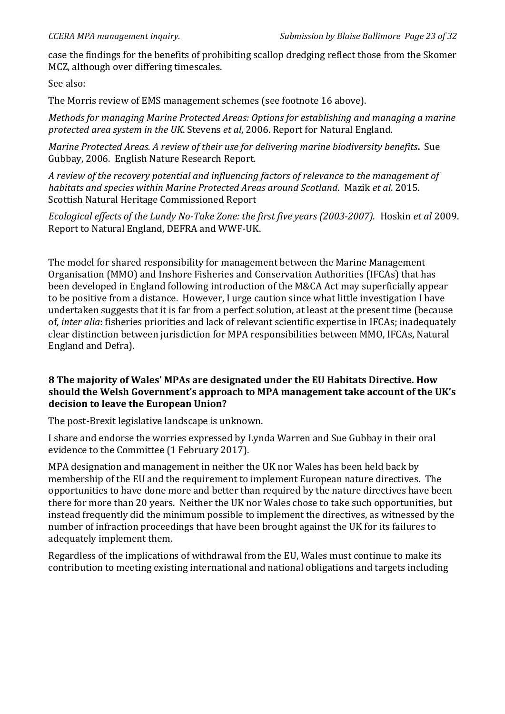case the findings for the benefits of prohibiting scallop dredging reflect those from the Skomer MCZ, although over differing timescales.

See also:

The Morris review of EMS management schemes (see footnote 16 above).

*Methods for managing Marine Protected Areas: Options for establishing and managing a marine protected area system in the UK*. Stevens *et al*, 2006. Report for Natural England.

*Marine%Protected%Areas.%A review%of their use%for%delivering%marine%biodiversity%benefits***.\*** Sue Gubbay, 2006. English Nature Research Report.

A review of the recovery potential and influencing factors of relevance to the management of *habitats and species within Marine Protected Areas around Scotland. Mazik et al.* 2015. Scottish Natural Heritage Commissioned Report

*Ecological effects of the Lundy No-Take Zone: the first five years (2003-2007). Hoskin et al 2009.* Report to Natural England, DEFRA and WWF-UK.

The model for shared responsibility for management between the Marine Management Organisation (MMO) and Inshore Fisheries and Conservation Authorities (IFCAs) that has been developed in England following introduction of the M&CA Act may superficially appear to be positive from a distance. However, I urge caution since what little investigation I have undertaken suggests that it is far from a perfect solution, at least at the present time (because of, *inter alia*: fisheries priorities and lack of relevant scientific expertise in IFCAs; inadequately clear distinction between jurisdiction for MPA responsibilities between MMO, IFCAs, Natural England and Defra).

#### 8 The majority of Wales' MPAs are designated under the EU Habitats Directive. How should the Welsh Government's approach to MPA management take account of the UK's decision to leave the European Union?

The post-Brexit legislative landscape is unknown.

I share and endorse the worries expressed by Lynda Warren and Sue Gubbay in their oral evidence to the Committee (1 February 2017).

MPA designation and management in neither the UK nor Wales has been held back by membership of the EU and the requirement to implement European nature directives. The opportunities to have done more and better than required by the nature directives have been there for more than 20 years. Neither the UK nor Wales chose to take such opportunities, but instead frequently did the minimum possible to implement the directives, as witnessed by the number of infraction proceedings that have been brought against the UK for its failures to adequately implement them.

Regardless of the implications of withdrawal from the EU, Wales must continue to make its contribution to meeting existing international and national obligations and targets including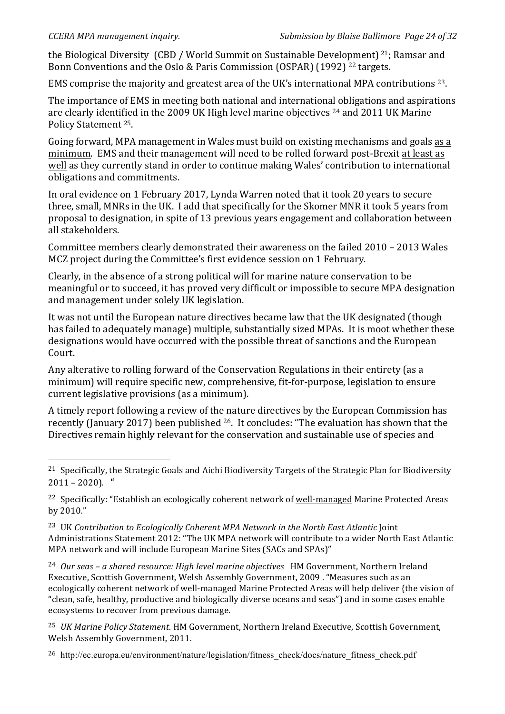!!!!!!!!!!!!!!!!!!!!!!!!!!!!!!!!!!!!!!!!!!!!!!!!!!!!!!!

the Biological Diversity (CBD / World Summit on Sustainable Development)  $21$ : Ramsar and Bonn Conventions and the Oslo & Paris Commission (OSPAR) (1992) <sup>22</sup> targets.

EMS comprise the majority and greatest area of the UK's international MPA contributions  $^{23}$ .

The importance of EMS in meeting both national and international obligations and aspirations are clearly identified in the 2009 UK High level marine objectives <sup>24</sup> and 2011 UK Marine Policy Statement <sup>25</sup>.

Going forward, MPA management in Wales must build on existing mechanisms and goals as a minimum. EMS and their management will need to be rolled forward post-Brexit at least as well as they currently stand in order to continue making Wales' contribution to international obligations and commitments.

In oral evidence on 1 February 2017, Lynda Warren noted that it took 20 years to secure three, small, MNRs in the UK. I add that specifically for the Skomer MNR it took 5 years from proposal to designation, in spite of 13 previous years engagement and collaboration between all stakeholders.

Committee members clearly demonstrated their awareness on the failed 2010 – 2013 Wales MCZ project during the Committee's first evidence session on 1 February.

Clearly, in the absence of a strong political will for marine nature conservation to be meaningful or to succeed, it has proved very difficult or impossible to secure MPA designation and management under solely UK legislation.

It was not until the European nature directives became law that the UK designated (though has failed to adequately manage) multiple, substantially sized MPAs. It is moot whether these designations would have occurred with the possible threat of sanctions and the European Court.

Any alterative to rolling forward of the Conservation Regulations in their entirety (as a minimum) will require specific new, comprehensive, fit-for-purpose, legislation to ensure current legislative provisions (as a minimum).

A timely report following a review of the nature directives by the European Commission has recently (January 2017) been published  $26$ . It concludes: "The evaluation has shown that the Directives remain highly relevant for the conservation and sustainable use of species and

<sup>24</sup> Our seas – a shared resource: High level marine objectives HM Government, Northern Ireland Executive, Scottish Government, Welsh Assembly Government, 2009 . "Measures such as an ecologically coherent network of well-managed Marine Protected Areas will help deliver {the vision of "clean, safe, healthy, productive and biologically diverse oceans and seas") and in some cases enable ecosystems to recover from previous damage.

<sup>25</sup> *UK Marine Policy Statement*. HM Government, Northern Ireland Executive, Scottish Government, Welsh Assembly Government, 2011.

<sup>26</sup> http://ec.europa.eu/environment/nature/legislation/fitness check/docs/nature fitness check.pdf

<sup>&</sup>lt;sup>21</sup> Specifically, the Strategic Goals and Aichi Biodiversity Targets of the Strategic Plan for Biodiversity  $2011 - 2020$ . "

<sup>&</sup>lt;sup>22</sup> Specifically: "Establish an ecologically coherent network of well-managed Marine Protected Areas by 2010."

<sup>&</sup>lt;sup>23</sup> UK *Contribution to Ecologically Coherent MPA Network in the North East Atlantic* Joint Administrations Statement 2012: "The UK MPA network will contribute to a wider North East Atlantic MPA network and will include European Marine Sites (SACs and SPAs)"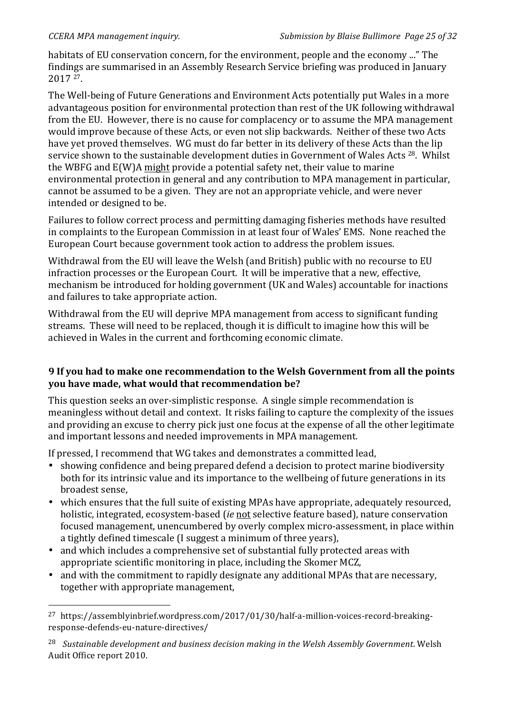!!!!!!!!!!!!!!!!!!!!!!!!!!!!!!!!!!!!!!!!!!!!!!!!!!!!!!!

habitats of EU conservation concern, for the environment, people and the economy ..." The findings are summarised in an Assembly Research Service briefing was produced in January 2017 27.!!

The Well-being of Future Generations and Environment Acts potentially put Wales in a more advantageous position for environmental protection than rest of the UK following withdrawal from the EU. However, there is no cause for complacency or to assume the MPA management would improve because of these Acts, or even not slip backwards. Neither of these two Acts have yet proved themselves. WG must do far better in its delivery of these Acts than the lip service shown to the sustainable development duties in Government of Wales Acts <sup>28</sup>. Whilst the WBFG and  $E(W)$ A might provide a potential safety net, their value to marine environmental protection in general and any contribution to MPA management in particular, cannot be assumed to be a given. They are not an appropriate vehicle, and were never intended or designed to be.

Failures to follow correct process and permitting damaging fisheries methods have resulted in complaints to the European Commission in at least four of Wales' EMS. None reached the European Court because government took action to address the problem issues.

Withdrawal from the EU will leave the Welsh (and British) public with no recourse to EU infraction processes or the European Court. It will be imperative that a new, effective, mechanism be introduced for holding government (UK and Wales) accountable for inactions and failures to take appropriate action.

Withdrawal from the EU will deprive MPA management from access to significant funding streams. These will need to be replaced, though it is difficult to imagine how this will be achieved in Wales in the current and forthcoming economic climate.

# **9 If you had to make one recommendation to the Welsh Government from all the points you have made, what would that recommendation be?**

This question seeks an over-simplistic response. A single simple recommendation is meaningless without detail and context. It risks failing to capture the complexity of the issues and providing an excuse to cherry pick just one focus at the expense of all the other legitimate and important lessons and needed improvements in MPA management.

If pressed, I recommend that WG takes and demonstrates a committed lead,

- showing confidence and being prepared defend a decision to protect marine biodiversity both for its intrinsic value and its importance to the wellbeing of future generations in its broadest sense,
- which ensures that the full suite of existing MPAs have appropriate, adequately resourced, holistic, integrated, ecosystem-based (*ie* not selective feature based), nature conservation focused management, unencumbered by overly complex micro-assessment, in place within a tightly defined timescale (I suggest a minimum of three years),
- and which includes a comprehensive set of substantial fully protected areas with appropriate scientific monitoring in place, including the Skomer MCZ,
- and with the commitment to rapidly designate any additional MPAs that are necessary, together with appropriate management,

<sup>&</sup>lt;sup>27</sup> https://assemblvinbrief.wordpress.com/2017/01/30/half-a-million-voices-record-breakingresponse-defends-eu-nature-directives/

<sup>&</sup>lt;sup>28</sup> Sustainable development and business decision making in the Welsh Assembly Government. Welsh Audit Office report 2010.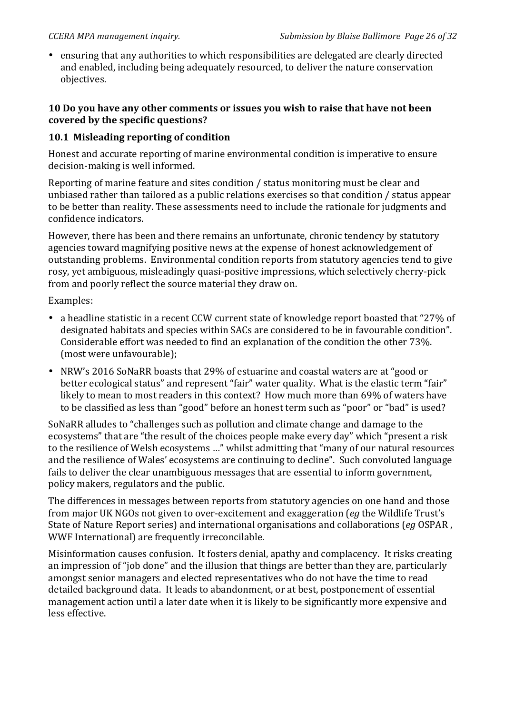• ensuring that any authorities to which responsibilities are delegated are clearly directed and enabled, including being adequately resourced, to deliver the nature conservation objectives.

#### **10 Do you have any other comments or issues you wish to raise that have not been** covered by the specific questions?

#### **10.1 Misleading reporting of condition**

Honest and accurate reporting of marine environmental condition is imperative to ensure decision-making is well informed.

Reporting of marine feature and sites condition / status monitoring must be clear and unbiased rather than tailored as a public relations exercises so that condition / status appear to be better than reality. These assessments need to include the rationale for judgments and confidence indicators.

However, there has been and there remains an unfortunate, chronic tendency by statutory agencies toward magnifying positive news at the expense of honest acknowledgement of outstanding problems. Environmental condition reports from statutory agencies tend to give rosy, yet ambiguous, misleadingly quasi-positive impressions, which selectively cherry-pick from and poorly reflect the source material they draw on.

Examples:

- a headline statistic in a recent CCW current state of knowledge report boasted that "27% of designated habitats and species within SACs are considered to be in favourable condition". Considerable effort was needed to find an explanation of the condition the other 73%. (most were unfavourable);
- NRW's 2016 SoNaRR boasts that 29% of estuarine and coastal waters are at "good or better ecological status" and represent "fair" water quality. What is the elastic term "fair" likely to mean to most readers in this context? How much more than 69% of waters have to be classified as less than "good" before an honest term such as "poor" or "bad" is used?

SoNaRR alludes to "challenges such as pollution and climate change and damage to the ecosystems" that are "the result of the choices people make every day" which "present a risk to the resilience of Welsh ecosystems ..." whilst admitting that "many of our natural resources and the resilience of Wales' ecosystems are continuing to decline". Such convoluted language fails to deliver the clear unambiguous messages that are essential to inform government, policy makers, regulators and the public.

The differences in messages between reports from statutory agencies on one hand and those from major UK NGOs not given to over-excitement and exaggeration (*eg* the Wildlife Trust's State of Nature Report series) and international organisations and collaborations (*eg* OSPAR, WWF International) are frequently irreconcilable.

Misinformation causes confusion. It fosters denial, apathy and complacency. It risks creating an impression of "job done" and the illusion that things are better than they are, particularly amongst senior managers and elected representatives who do not have the time to read detailed background data. It leads to abandonment, or at best, postponement of essential management action until a later date when it is likely to be significantly more expensive and less effective.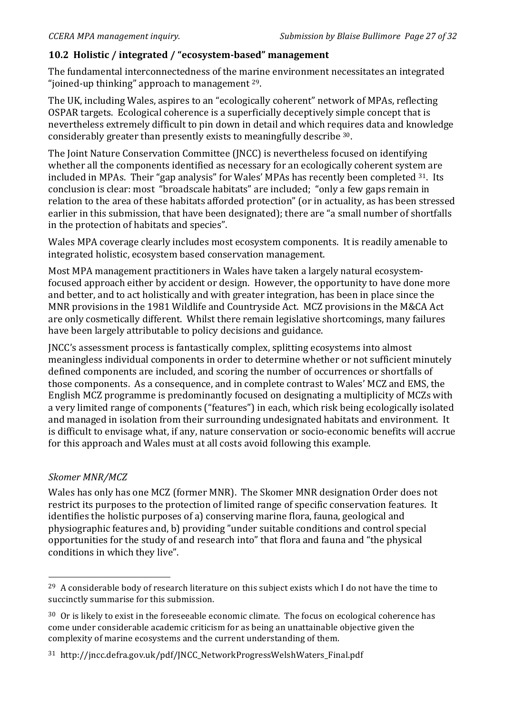# 10.2 Holistic / integrated / "ecosystem-based" management

The fundamental interconnectedness of the marine environment necessitates an integrated "joined-up thinking" approach to management  $29$ .

The UK, including Wales, aspires to an "ecologically coherent" network of MPAs, reflecting OSPAR targets. Ecological coherence is a superficially deceptively simple concept that is nevertheless extremely difficult to pin down in detail and which requires data and knowledge considerably greater than presently exists to meaningfully describe  $30$ .

The Joint Nature Conservation Committee (JNCC) is nevertheless focused on identifying whether all the components identified as necessary for an ecologically coherent system are included in MPAs. Their "gap analysis" for Wales' MPAs has recently been completed  $31$ . Its conclusion is clear: most "broadscale habitats" are included; "only a few gaps remain in relation to the area of these habitats afforded protection" (or in actuality, as has been stressed earlier in this submission, that have been designated); there are "a small number of shortfalls in the protection of habitats and species".

Wales MPA coverage clearly includes most ecosystem components. It is readily amenable to integrated holistic, ecosystem based conservation management.

Most MPA management practitioners in Wales have taken a largely natural ecosystemfocused approach either by accident or design. However, the opportunity to have done more and better, and to act holistically and with greater integration, has been in place since the MNR provisions in the 1981 Wildlife and Countryside Act. MCZ provisions in the M&CA Act are only cosmetically different. Whilst there remain legislative shortcomings, many failures have been largely attributable to policy decisions and guidance.

JNCC's assessment process is fantastically complex, splitting ecosystems into almost meaningless individual components in order to determine whether or not sufficient minutely defined components are included, and scoring the number of occurrences or shortfalls of those components. As a consequence, and in complete contrast to Wales' MCZ and EMS, the English MCZ programme is predominantly focused on designating a multiplicity of MCZs with a very limited range of components ("features") in each, which risk being ecologically isolated and managed in isolation from their surrounding undesignated habitats and environment. It is difficult to envisage what, if any, nature conservation or socio-economic benefits will accrue for this approach and Wales must at all costs avoid following this example.

# Skomer MNR/MCZ

!!!!!!!!!!!!!!!!!!!!!!!!!!!!!!!!!!!!!!!!!!!!!!!!!!!!!!!

Wales has only has one MCZ (former MNR). The Skomer MNR designation Order does not restrict its purposes to the protection of limited range of specific conservation features. It identifies the holistic purposes of a) conserving marine flora, fauna, geological and physiographic features and, b) providing "under suitable conditions and control special opportunities for the study of and research into" that flora and fauna and "the physical conditions in which they live".

<sup>&</sup>lt;sup>29</sup> A considerable body of research literature on this subject exists which I do not have the time to succinctly summarise for this submission.

 $30$  Or is likely to exist in the foreseeable economic climate. The focus on ecological coherence has come under considerable academic criticism for as being an unattainable objective given the complexity of marine ecosystems and the current understanding of them.

<sup>&</sup>lt;sup>31</sup> http://jncc.defra.gov.uk/pdf/JNCC\_NetworkProgressWelshWaters\_Final.pdf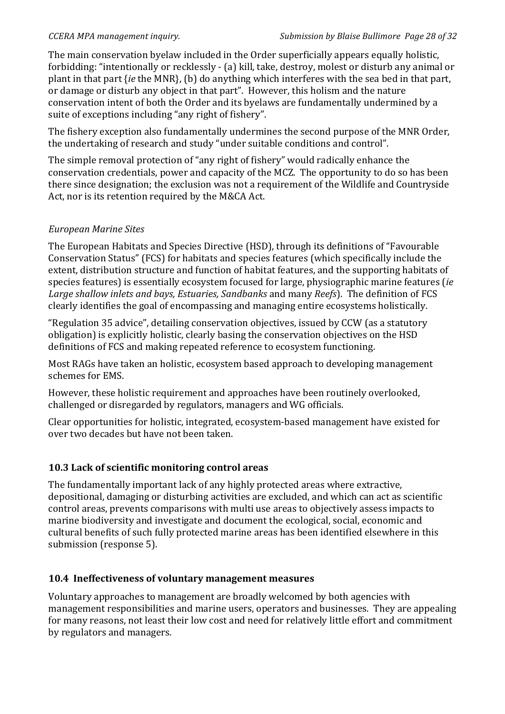The main conservation byelaw included in the Order superficially appears equally holistic. forbidding: "intentionally or recklessly - (a) kill, take, destroy, molest or disturb any animal or plant in that part {*ie* the MNR}, (b) do anything which interferes with the sea bed in that part, or damage or disturb any object in that part". However, this holism and the nature conservation intent of both the Order and its byelaws are fundamentally undermined by a suite of exceptions including "any right of fishery".

The fishery exception also fundamentally undermines the second purpose of the MNR Order, the undertaking of research and study "under suitable conditions and control".

The simple removal protection of "any right of fishery" would radically enhance the conservation credentials, power and capacity of the MCZ. The opportunity to do so has been there since designation; the exclusion was not a requirement of the Wildlife and Countryside Act, nor is its retention required by the M&CA Act.

#### *European%Marine%Sites*

The European Habitats and Species Directive (HSD), through its definitions of "Favourable Conservation Status" (FCS) for habitats and species features (which specifically include the extent, distribution structure and function of habitat features, and the supporting habitats of species features) is essentially ecosystem focused for large, physiographic marine features (*ie* Large shallow inlets and bays, *Estuaries, Sandbanks* and many *Reefs*). The definition of FCS clearly identifies the goal of encompassing and managing entire ecosystems holistically.

"Regulation 35 advice", detailing conservation objectives, issued by CCW (as a statutory obligation) is explicitly holistic, clearly basing the conservation objectives on the HSD definitions of FCS and making repeated reference to ecosystem functioning.

Most RAGs have taken an holistic, ecosystem based approach to developing management schemes for EMS.

However, these holistic requirement and approaches have been routinely overlooked, challenged or disregarded by regulators, managers and WG officials.

Clear opportunities for holistic, integrated, ecosystem-based management have existed for over two decades but have not been taken

# 10.3 Lack of scientific monitoring control areas

The fundamentally important lack of any highly protected areas where extractive, depositional, damaging or disturbing activities are excluded, and which can act as scientific control areas, prevents comparisons with multi use areas to objectively assess impacts to marine biodiversity and investigate and document the ecological, social, economic and cultural benefits of such fully protected marine areas has been identified elsewhere in this submission (response 5).

# 10.4 Ineffectiveness of voluntary management measures

Voluntary approaches to management are broadly welcomed by both agencies with management responsibilities and marine users, operators and businesses. They are appealing for many reasons, not least their low cost and need for relatively little effort and commitment by regulators and managers.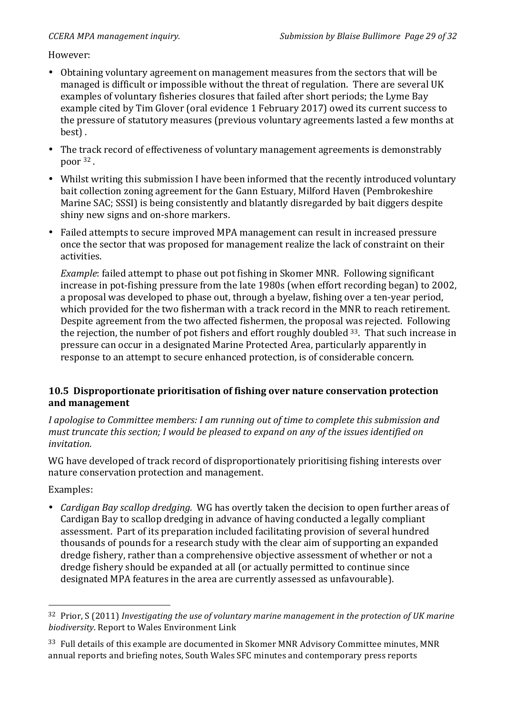However:

- Obtaining voluntary agreement on management measures from the sectors that will be managed is difficult or impossible without the threat of regulation. There are several UK examples of voluntary fisheries closures that failed after short periods; the Lyme Bay example cited by Tim Glover (oral evidence 1 February 2017) owed its current success to the pressure of statutory measures (previous voluntary agreements lasted a few months at best) .
- The track record of effectiveness of voluntary management agreements is demonstrably poor <sup>32</sup> .
- Whilst writing this submission I have been informed that the recently introduced voluntary bait collection zoning agreement for the Gann Estuary, Milford Haven (Pembrokeshire Marine SAC; SSSI) is being consistently and blatantly disregarded by bait diggers despite shiny new signs and on-shore markers.
- Failed attempts to secure improved MPA management can result in increased pressure once the sector that was proposed for management realize the lack of constraint on their activities.

*Example*: failed attempt to phase out pot fishing in Skomer MNR. Following significant increase in pot-fishing pressure from the late 1980s (when effort recording began) to 2002, a proposal was developed to phase out, through a byelaw, fishing over a ten-year period, which provided for the two fisherman with a track record in the MNR to reach retirement. Despite agreement from the two affected fishermen, the proposal was rejected. Following the rejection, the number of pot fishers and effort roughly doubled  $33$ . That such increase in pressure can occur in a designated Marine Protected Area, particularly apparently in response to an attempt to secure enhanced protection, is of considerable concern.

# **10.5 Disproportionate prioritisation of fishing over nature conservation protection** and management

*I apologise to Committee members: I am running out of time to complete this submission and must truncate this section; I would be pleased to expand on any of the issues identified on invitation.*

WG have developed of track record of disproportionately prioritising fishing interests over nature conservation protection and management.

Examples:

!!!!!!!!!!!!!!!!!!!!!!!!!!!!!!!!!!!!!!!!!!!!!!!!!!!!!!!

• *Cardigan Bay scallop dredging.* WG has overtly taken the decision to open further areas of Cardigan Bay to scallop dredging in advance of having conducted a legally compliant assessment. Part of its preparation included facilitating provision of several hundred thousands of pounds for a research study with the clear aim of supporting an expanded dredge fishery, rather than a comprehensive objective assessment of whether or not a dredge fishery should be expanded at all (or actually permitted to continue since designated MPA features in the area are currently assessed as unfavourable).

<sup>&</sup>lt;sup>32</sup> Prior, S (2011) Investigating the use of voluntary marine management in the protection of UK marine *biodiversity*. Report to Wales Environment Link

<sup>&</sup>lt;sup>33</sup> Full details of this example are documented in Skomer MNR Advisory Committee minutes, MNR annual reports and briefing notes, South Wales SFC minutes and contemporary press reports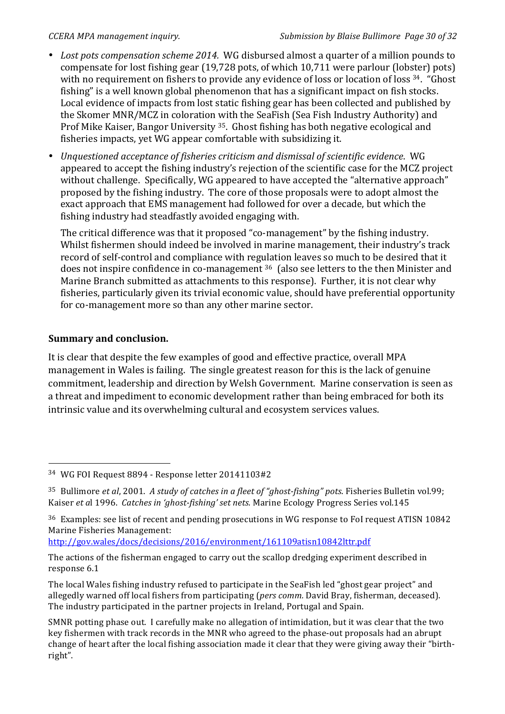- Lost pots compensation scheme 2014. WG disbursed almost a quarter of a million pounds to compensate for lost fishing gear (19,728 pots, of which 10,711 were parlour (lobster) pots) with no requirement on fishers to provide any evidence of loss or location of loss <sup>34</sup>. "Ghost fishing" is a well known global phenomenon that has a significant impact on fish stocks. Local evidence of impacts from lost static fishing gear has been collected and published by the Skomer MNR/MCZ in coloration with the SeaFish (Sea Fish Industry Authority) and Prof Mike Kaiser, Bangor University <sup>35</sup>. Ghost fishing has both negative ecological and fisheries impacts, yet WG appear comfortable with subsidizing it.
- *Unquestioned acceptance of fisheries criticism and dismissal of scientific evidence.* WG appeared to accept the fishing industry's rejection of the scientific case for the MCZ project without challenge. Specifically, WG appeared to have accepted the "alternative approach" proposed by the fishing industry. The core of those proposals were to adopt almost the exact approach that EMS management had followed for over a decade, but which the fishing industry had steadfastly avoided engaging with.

The critical difference was that it proposed "co-management" by the fishing industry. Whilst fishermen should indeed be involved in marine management, their industry's track record of self-control and compliance with regulation leaves so much to be desired that it does not inspire confidence in co-management  $36$  (also see letters to the then Minister and Marine Branch submitted as attachments to this response). Further, it is not clear why fisheries, particularly given its trivial economic value, should have preferential opportunity for co-management more so than any other marine sector.

# **Summary and\*conclusion.**

!!!!!!!!!!!!!!!!!!!!!!!!!!!!!!!!!!!!!!!!!!!!!!!!!!!!!!!

It is clear that despite the few examples of good and effective practice, overall MPA management in Wales is failing. The single greatest reason for this is the lack of genuine commitment, leadership and direction by Welsh Government. Marine conservation is seen as a threat and impediment to economic development rather than being embraced for both its intrinsic value and its overwhelming cultural and ecosystem services values.

http://gov.wales/docs/decisions/2016/environment/161109atisn10842lttr.pdf

<sup>&</sup>lt;sup>34</sup> WG FOI Request 8894 - Response letter 20141103#2

<sup>&</sup>lt;sup>35</sup> Bullimore *et al*, 2001. *A study of catches in a fleet of "ghost-fishing" pots*. Fisheries Bulletin vol.99; Kaiser *et al* 1996. *Catches in 'ghost-fishing' set nets.* Marine Ecology Progress Series vol.145

<sup>36</sup> Examples: see list of recent and pending prosecutions in WG response to FoI request ATISN 10842 Marine Fisheries Management:

The actions of the fisherman engaged to carry out the scallop dredging experiment described in response 6.1

The local Wales fishing industry refused to participate in the SeaFish led "ghost gear project" and allegedly warned off local fishers from participating (*pers comm.* David Bray, fisherman, deceased). The industry participated in the partner projects in Ireland, Portugal and Spain.

SMNR potting phase out. I carefully make no allegation of intimidation, but it was clear that the two key fishermen with track records in the MNR who agreed to the phase-out proposals had an abrupt change of heart after the local fishing association made it clear that they were giving away their "birthright".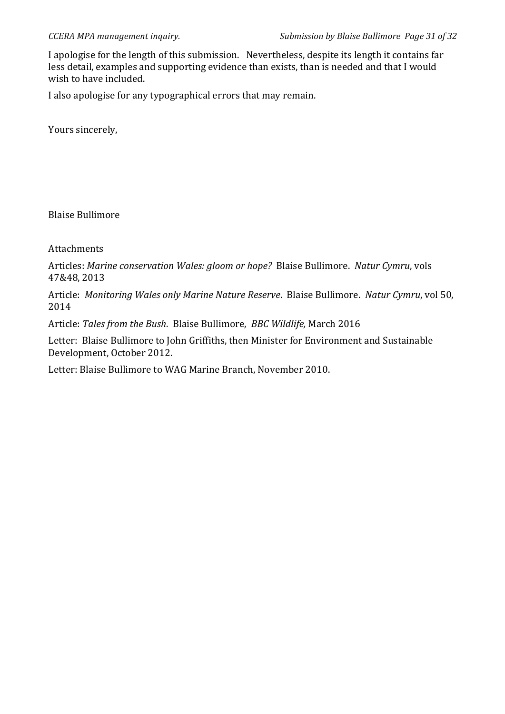I apologise for the length of this submission. Nevertheless, despite its length it contains far less detail, examples and supporting evidence than exists, than is needed and that I would wish to have included.

I also apologise for any typographical errors that may remain.

Yours sincerely,

Blaise Bullimore

Attachments

Articles: *Marine conservation Wales: gloom or hope?* Blaise Bullimore. *Natur Cymru*, vols 47&48, 2013

Article: *Monitoring Wales only Marine Nature Reserve*. Blaise Bullimore. *Natur Cymru*, vol 50, 2014

Article: *Tales from the Bush*. Blaise Bullimore, *BBC Wildlife*, March 2016

Letter: Blaise Bullimore to John Griffiths, then Minister for Environment and Sustainable Development, October 2012.

Letter: Blaise Bullimore to WAG Marine Branch, November 2010.